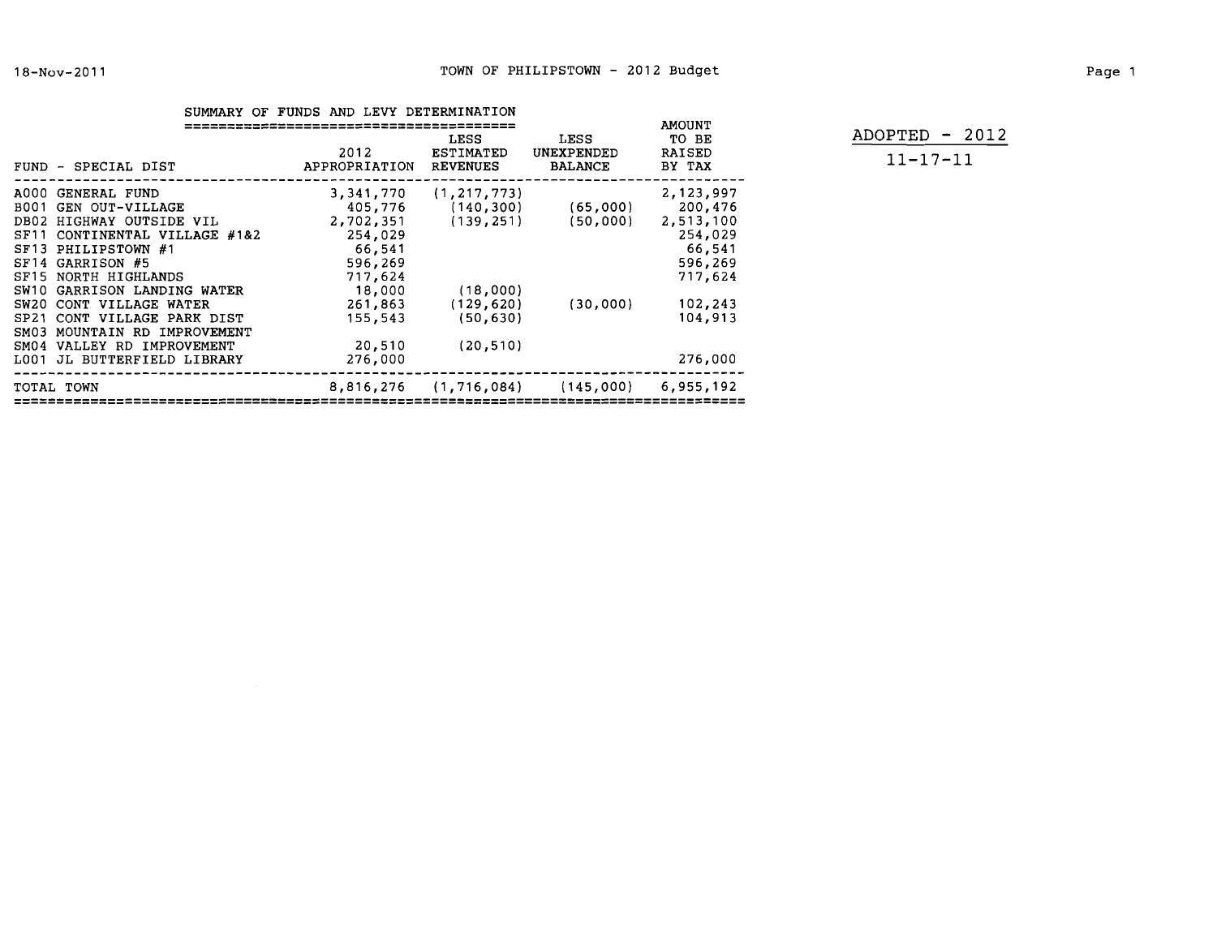|--|--|--|--|--|--|

ADOPTED - 2012 **11-17-11** 

|                  |                          | <b>AMOUNT</b>         |                                      |                                      |                                  |
|------------------|--------------------------|-----------------------|--------------------------------------|--------------------------------------|----------------------------------|
|                  | FUND - SPECIAL DIST      | 2012<br>APPROPRIATION | LESS<br>ESTIMATED<br><b>REVENUES</b> | LESS<br>UNEXPENDED<br><b>BALANCE</b> | TO BE<br><b>RAISED</b><br>BY TAX |
| A000             | GENERAL FUND             | 3,341,770             | (1, 217, 773)                        |                                      | 2,123,997                        |
| B001             | GEN OUT-VILLAGE          | 405,776               | (140, 300)                           | (65,000)                             | 200,476                          |
| DB02             | HIGHWAY OUTSIDE VIL      | 2,702,351             | (139, 251)                           | (50,000)                             | 2,513,100                        |
| SF <sub>11</sub> | CONTINENTAL VILLAGE #1&2 | 254,029               |                                      |                                      | 254,029                          |
| ST13             | PHILIPSTOWN #1           | 66,541                |                                      |                                      | 66,541                           |
| SF14             | GARRISON #5              | 596,269               |                                      |                                      | 596,269                          |
| SF <sub>15</sub> | NORTH HIGHLANDS          | 717,624               |                                      |                                      | 717,624                          |
| SW10             | GARRISON LANDING WATER   | 18,000                | (18,000)                             |                                      |                                  |
| SW20             | CONT VILLAGE WATER       | 261,863               | (129, 620)                           | (30,000)                             | 102,243                          |
| SP <sub>21</sub> | CONT VILLAGE PARK DIST   | 155,543               | (50, 630)                            |                                      | 104,913                          |
| SM03             | MOUNTAIN RD IMPROVEMENT  |                       |                                      |                                      |                                  |
| SM04             | VALLEY RD IMPROVEMENT    | 20,510                | (20, 510)                            |                                      |                                  |
| L001             | JL BUTTERFIELD LIBRARY   | 276,000               |                                      |                                      | 276,000                          |
|                  | TOTAL TOWN               | 8,816,276             |                                      | $(1, 716, 084)$ $(145, 000)$         | 6,955,192                        |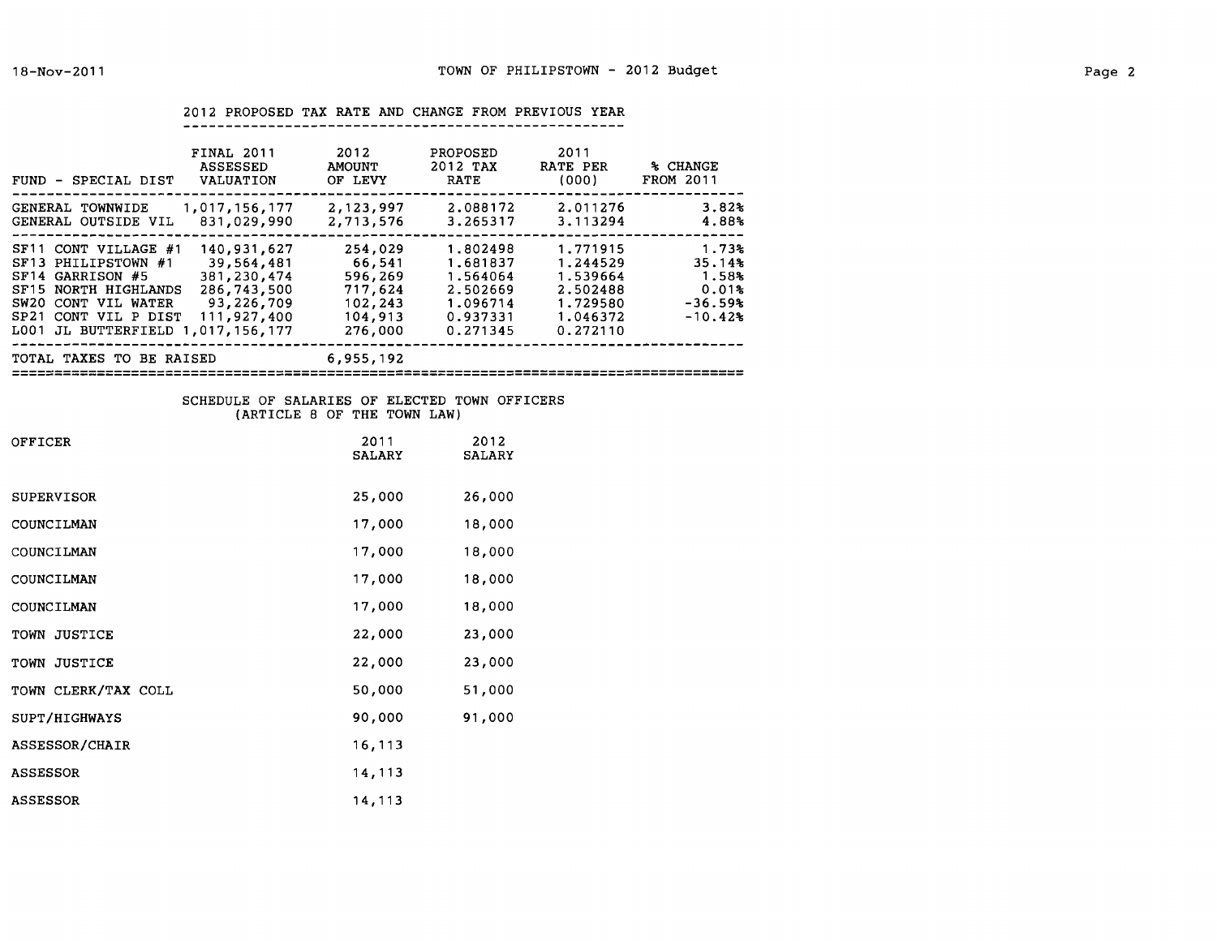|  |  |  |  | 2012 PROPOSED TAX RATE AND CHANGE FROM PREVIOUS YEAR |  |
|--|--|--|--|------------------------------------------------------|--|
|  |  |  |  |                                                      |  |

| <b>FINAL 2011</b><br><b>ASSESSED</b><br>FUND - SPECIAL DIST<br>VALUATION                                                                                                                                                                                                                | 2012<br><b>AMOUNT</b><br>OF LEVY                                         | PROPOSED<br>2012 TAX<br><b>RATE</b>                                              | 2011<br>RATE PER<br>(000)                                                        | % CHANGE<br>FROM 2011                                       |
|-----------------------------------------------------------------------------------------------------------------------------------------------------------------------------------------------------------------------------------------------------------------------------------------|--------------------------------------------------------------------------|----------------------------------------------------------------------------------|----------------------------------------------------------------------------------|-------------------------------------------------------------|
| 1,017,156,177<br>GENERAL TOWNWIDE<br>831,029,990<br>GENERAL OUTSIDE VIL                                                                                                                                                                                                                 | 2,123,997<br>2,713,576                                                   | 2.088172<br>3.265317                                                             | 2.011276<br>3.113294                                                             | 3.82%<br>4.88%                                              |
| 140,931,627<br>SF11 CONT VILLAGE #1<br>39,564,481<br>SF13 PHILIPSTOWN #1<br>SF14 GARRISON #5<br>381, 230, 474<br>286,743,500<br>SF15 NORTH HIGHLANDS<br>93,226,709<br>SW20 CONT VIL WATER<br>111,927,400<br>SP <sub>21</sub><br>CONT VIL P DIST<br>JL BUTTERFIELD 1,017,156,177<br>L001 | 254,029<br>66.541<br>596,269<br>717,624<br>102,243<br>104,913<br>276,000 | 1.802498<br>1.681837<br>1.564064<br>2.502669<br>1.096714<br>0.937331<br>0.271345 | 1.771915<br>1.244529<br>1.539664<br>2.502488<br>1.729580<br>1.046372<br>0.272110 | 1.73%<br>35.14%<br>1.58%<br>0.01%<br>$-36.59%$<br>$-10.42%$ |
| TOTAL TAXES TO BE RAISED                                                                                                                                                                                                                                                                | 6,955,192                                                                |                                                                                  |                                                                                  |                                                             |

## SCHEDULE OF SALARIES OF ELECTED TOWN OFFICERS (ARTICLE 8 OF THE TOWN LAW)

| OFFICER             | 2011<br><b>SALARY</b> | 2012<br><b>SALARY</b> |
|---------------------|-----------------------|-----------------------|
| SUPERVISOR          | 25,000                | 26,000                |
| COUNCILMAN          | 17,000                | 18,000                |
| COUNCILMAN          | 17,000                | 18,000                |
| COUNCILMAN          | 17,000                | 18,000                |
| COUNCILMAN          | 17,000                | 18,000                |
| TOWN JUSTICE        | 22,000                | 23,000                |
| TOWN JUSTICE        | 22,000                | 23,000                |
| TOWN CLERK/TAX COLL | 50,000                | 51,000                |
| SUPT/HIGHWAYS       | 90,000                | 91,000                |
| ASSESSOR/CHAIR      | 16,113                |                       |
| <b>ASSESSOR</b>     | 14,113                |                       |
| <b>ASSESSOR</b>     | 14,113                |                       |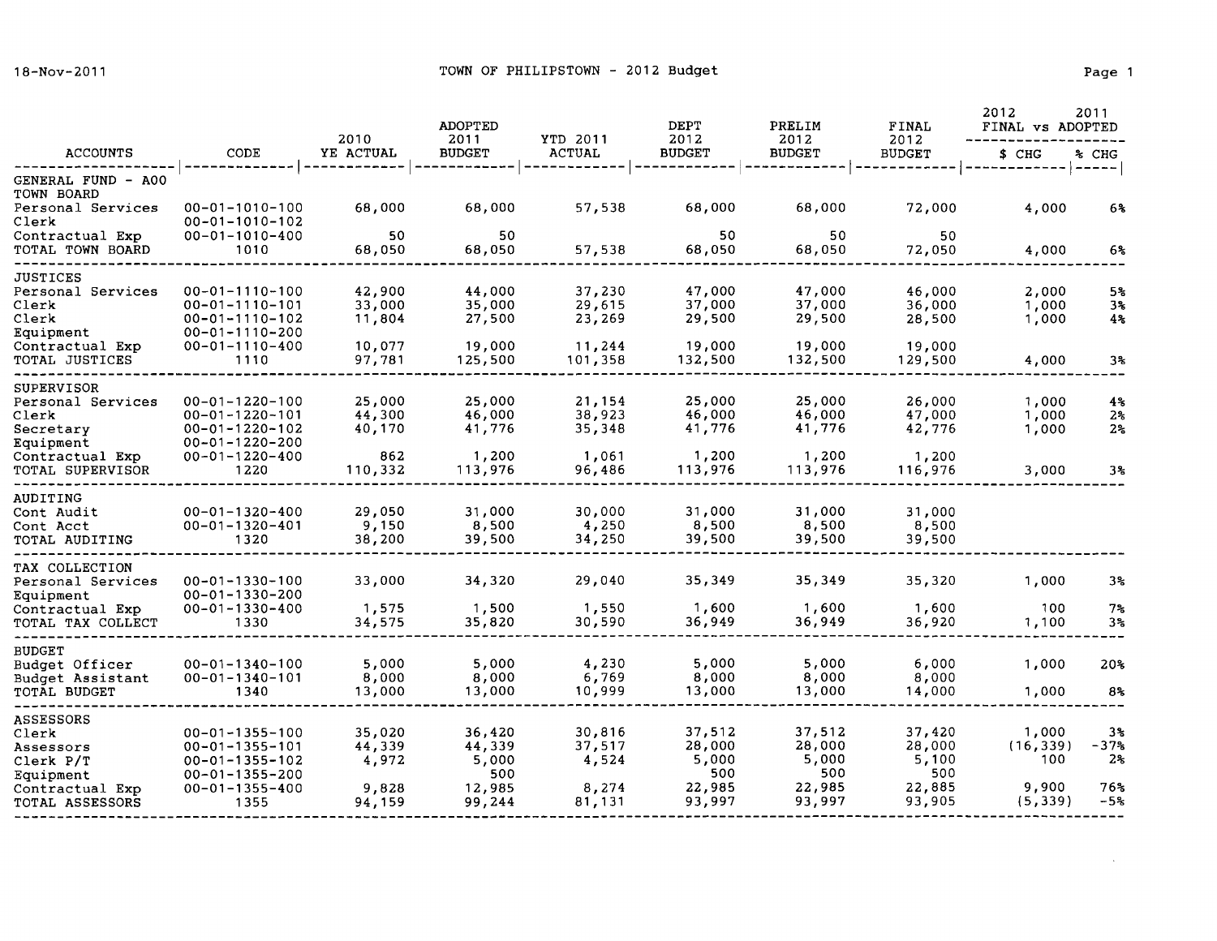$\sim$ 

|                                      |                                                  | 2010             | <b>ADOPTED</b><br>2011 | YTD 2011          | <b>DEPT</b><br>2012 | PRELIM<br>2012    | FINAL<br>2012     | 2012<br>FINAL vs ADOPTED | 2011           |
|--------------------------------------|--------------------------------------------------|------------------|------------------------|-------------------|---------------------|-------------------|-------------------|--------------------------|----------------|
| <b>ACCOUNTS</b>                      | CODE                                             | YE ACTUAL        | <b>BUDGET</b>          | <b>ACTUAL</b>     | <b>BUDGET</b>       | <b>BUDGET</b>     | <b>BUDGET</b>     | \$ CHG                   | % CHG          |
| GENERAL FUND - A00<br>TOWN BOARD     |                                                  |                  |                        |                   |                     |                   |                   |                          | ----           |
| Personal Services<br>Clerk           | $00 - 01 - 1010 - 100$<br>$00 - 01 - 1010 - 102$ | 68,000           | 68,000                 | 57,538            | 68,000              | 68,000            | 72,000            | 4,000                    | 6%             |
| Contractual Exp<br>TOTAL TOWN BOARD  | $00 - 01 - 1010 - 400$<br>1010                   | 50<br>68,050     | 50<br>68,050           | 57,538            | 50<br>68,050        | 50<br>68,050      | 50<br>72,050      | 4,000                    | 6%             |
| <b>JUSTICES</b><br>Personal Services | $00 - 01 - 1110 - 100$                           | 42,900           | 44,000                 | 37,230            | 47,000              | 47,000            | 46,000            | 2,000                    | 5%             |
| Clerk                                | $00 - 01 - 1110 - 101$                           | 33,000           | 35,000                 | 29,615            | 37,000              | 37,000            | 36,000            | 1,000                    | 3%             |
| Clerk<br>Equipment                   | $00 - 01 - 1110 - 102$<br>$00 - 01 - 1110 - 200$ | 11,804           | 27,500                 | 23,269            | 29,500              | 29,500            | 28,500            | 1,000                    | 4%             |
| Contractual Exp<br>TOTAL JUSTICES    | $00 - 01 - 1110 - 400$<br>1110                   | 10,077<br>97,781 | 19,000<br>125,500      | 11,244<br>101,358 | 19,000<br>132,500   | 19,000<br>132,500 | 19,000<br>129,500 | 4,000                    | 3%             |
| <b>SUPERVISOR</b>                    | $00 - 01 - 1220 - 100$                           | 25,000           | 25,000                 | 21,154            | 25,000              | 25,000            | 26,000            |                          |                |
| Personal Services<br>Clerk           | $00 - 01 - 1220 - 101$                           | 44,300           | 46,000                 | 38,923            | 46,000              | 46,000            | 47,000            | 1,000<br>1,000           | $4\%$<br>$2\%$ |
| Secretary<br>Equipment               | $00 - 01 - 1220 - 102$<br>$00 - 01 - 1220 - 200$ | 40,170           | 41,776                 | 35,348            | 41,776              | 41,776            | 42,776            | 1,000                    | 2 <sub>5</sub> |
| Contractual Exp<br>TOTAL SUPERVISOR  | $00 - 01 - 1220 - 400$<br>1220                   | 862<br>110,332   | 1,200<br>113,976       | 1,061<br>96,486   | 1,200<br>113,976    | 1,200<br>113,976  | 1,200<br>116,976  | 3,000                    | 3%             |
| AUDITING                             |                                                  |                  |                        |                   |                     |                   |                   |                          |                |
| Cont Audit<br>Cont Acct              | $00 - 01 - 1320 - 400$<br>$00 - 01 - 1320 - 401$ | 29,050<br>9,150  | 31,000<br>8,500        | 30,000<br>4,250   | 31,000<br>8,500     | 31,000<br>8,500   | 31,000<br>8,500   |                          |                |
| TOTAL AUDITING                       | 1320                                             | 38,200           | 39,500                 | 34,250            | 39,500              | 39,500            | 39,500            |                          |                |
| TAX COLLECTION<br>Personal Services  | $00 - 01 - 1330 - 100$<br>$00 - 01 - 1330 - 200$ | 33,000           | 34,320                 | 29,040            | 35,349              | 35,349            | 35,320            | 1,000                    | 3%             |
| Equipment<br>Contractual Exp         | $00 - 01 - 1330 - 400$                           | 1,575            | 1,500                  | 1,550             | 1,600               | 1,600             | 1,600             | 100                      | $7\%$          |
| TOTAL TAX COLLECT                    | 1330                                             | 34,575           | 35,820                 | 30,590            | 36,949              | 36,949            | 36,920            | 1,100                    | 3%             |
| <b>BUDGET</b><br>Budget Officer      | $00 - 01 - 1340 - 100$                           | 5,000            | 5,000                  | 4,230             | 5,000               | 5,000             | 6,000             | 1,000                    | 20%            |
| Budget Assistant                     | $00 - 01 - 1340 - 101$                           | 8,000            | 8,000                  | 6,769             | 8,000               | 8,000             | 8,000             |                          |                |
| TOTAL BUDGET                         | 1340                                             | 13,000           | 13,000                 | 10,999            | 13,000              | 13,000            | 14,000            | 1,000                    | $8\%$          |
| <b>ASSESSORS</b><br>Clerk            | $00 - 01 - 1355 - 100$                           | 35,020           | 36,420                 | 30,816            | 37,512              | 37,512            | 37,420            | 1,000                    | 3%             |
| Assessors                            | $00 - 01 - 1355 - 101$                           | 44,339           | 44,339                 | 37,517            | 28,000              | 28,000            | 28,000            | (16, 339)                | $-37%$         |
| Clerk P/T                            | $00 - 01 - 1355 - 102$                           | 4,972            | 5,000                  | 4,524             | 5,000               | 5,000             | 5,100             | 100                      | 2 <sub>3</sub> |
| Equipment                            | $00 - 01 - 1355 - 200$                           |                  | 500                    |                   | 500                 | 500               | 500               |                          |                |
| Contractual Exp<br>TOTAL ASSESSORS   | $00 - 01 - 1355 - 400$<br>1355                   | 9,828<br>94,159  | 12,985<br>99,244       | 8,274<br>81,131   | 22,985<br>93,997    | 22,985<br>93,997  | 22,885<br>93,905  | 9,900<br>(5, 339)        | 76%<br>$-5%$   |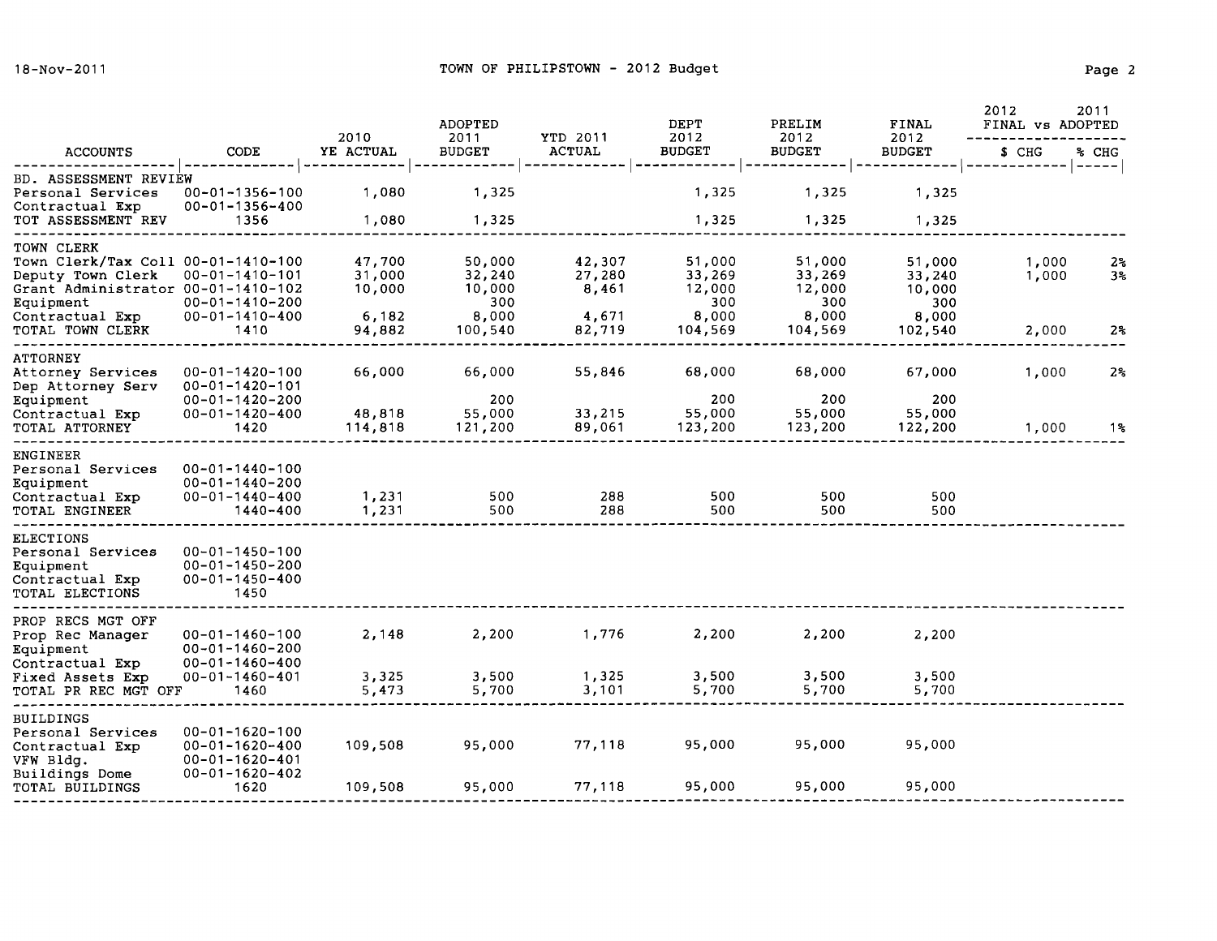|                                                                                                                                                                 |                                                                                                      | 2010                                          | <b>ADOPTED</b><br>2011                                | YTD 2011                                     | DEPT<br>2012                                          | PRELIM<br>2012                                        | FINAL<br>2012                                         | 2012<br>FINAL vs ADOPTED | 2011                       |
|-----------------------------------------------------------------------------------------------------------------------------------------------------------------|------------------------------------------------------------------------------------------------------|-----------------------------------------------|-------------------------------------------------------|----------------------------------------------|-------------------------------------------------------|-------------------------------------------------------|-------------------------------------------------------|--------------------------|----------------------------|
| <b>ACCOUNTS</b>                                                                                                                                                 | CODE                                                                                                 | YE ACTUAL                                     | <b>BUDGET</b>                                         | <b>ACTUAL</b>                                | <b>BUDGET</b>                                         | <b>BUDGET</b>                                         | <b>BUDGET</b>                                         | \$ CHG                   | % CHG                      |
| BD. ASSESSMENT REVIEW<br>Personal Services<br>Contractual Exp<br>TOT ASSESSMENT REV                                                                             | $00 - 01 - 1356 - 100$<br>00-01-1356-400<br>1356                                                     | 1,080<br>1,080                                | 1,325<br>1,325                                        |                                              | 1,325<br>1,325                                        | 1,325<br>1,325                                        | 1,325<br>1,325                                        |                          | $\qquad \qquad - - - - -$  |
| TOWN CLERK<br>Town Clerk/Tax Coll 00-01-1410-100<br>Deputy Town Clerk<br>Grant Administrator 00-01-1410-102<br>Equipment<br>Contractual Exp<br>TOTAL TOWN CLERK | $00 - 01 - 1410 - 101$<br>$00 - 01 - 1410 - 200$<br>$00 - 01 - 1410 - 400$<br>1410                   | 47,700<br>31,000<br>10,000<br>6,182<br>94,882 | 50,000<br>32,240<br>10,000<br>300<br>8,000<br>100,540 | 42,307<br>27,280<br>8,461<br>4,671<br>82,719 | 51,000<br>33,269<br>12,000<br>300<br>8,000<br>104,569 | 51,000<br>33,269<br>12,000<br>300<br>8,000<br>104,569 | 51,000<br>33,240<br>10,000<br>300<br>8,000<br>102,540 | 1,000<br>1,000<br>2,000  | 2%<br>3 <sub>5</sub><br>2% |
| <b>ATTORNEY</b><br>Attorney Services<br>Dep Attorney Serv<br>Equipment<br>Contractual Exp<br>TOTAL ATTORNEY                                                     | $00 - 01 - 1420 - 100$<br>00-01-1420-101<br>$00 - 01 - 1420 - 200$<br>$00 - 01 - 1420 - 400$<br>1420 | 66,000<br>48,818<br>114,818                   | 66,000<br>200<br>55,000<br>121,200                    | 55,846<br>33,215<br>89,061                   | 68,000<br>200<br>55,000<br>123,200                    | 68,000<br>200<br>55,000<br>123,200                    | 67,000<br>200<br>55,000<br>122,200                    | 1,000<br>1,000           | 2 <sub>5</sub><br>1%       |
| <b>ENGINEER</b><br>Personal Services<br>Equipment<br>Contractual Exp<br>TOTAL ENGINEER                                                                          | $00 - 01 - 1440 - 100$<br>$00 - 01 - 1440 - 200$<br>$00 - 01 - 1440 - 400$<br>1440-400               | 1,231<br>1,231                                | 500<br>500                                            | 288<br>288                                   | 500<br>500                                            | 500<br>500                                            | 500<br>500                                            |                          |                            |
| <b>ELECTIONS</b><br>Personal Services<br>Equipment<br>Contractual Exp<br>TOTAL ELECTIONS                                                                        | $00 - 01 - 1450 - 100$<br>$00 - 01 - 1450 - 200$<br>$00 - 01 - 1450 - 400$<br>1450                   |                                               |                                                       |                                              |                                                       |                                                       |                                                       |                          |                            |
| PROP RECS MGT OFF<br>Prop Rec Manager<br>Equipment                                                                                                              | $00 - 01 - 1460 - 100$<br>$00 - 01 - 1460 - 200$<br>$00 - 01 - 1460 - 400$                           | 2,148                                         | 2,200                                                 | 1,776                                        | 2,200                                                 | 2,200                                                 | 2,200                                                 |                          |                            |
| Contractual Exp<br>Fixed Assets Exp<br>TOTAL PR REC MGT OFF                                                                                                     | 00-01-1460-401<br>1460                                                                               | 3,325<br>5,473                                | 3,500<br>5,700                                        | 1,325<br>3,101                               | 3,500<br>5,700                                        | 3,500<br>5,700                                        | 3,500<br>5,700                                        |                          |                            |
| <b>BUILDINGS</b><br>Personal Services<br>Contractual Exp<br>VFW Bldg.<br>Buildings Dome                                                                         | $00 - 01 - 1620 - 100$<br>$00 - 01 - 1620 - 400$<br>$00 - 01 - 1620 - 401$<br>$00 - 01 - 1620 - 402$ | 109,508                                       | 95,000                                                | 77,118                                       | 95,000                                                | 95,000                                                | 95,000                                                |                          |                            |
| TOTAL BUILDINGS                                                                                                                                                 | 1620                                                                                                 | 109,508                                       | 95,000                                                | 77,118                                       | 95,000                                                | 95,000                                                | 95,000                                                |                          |                            |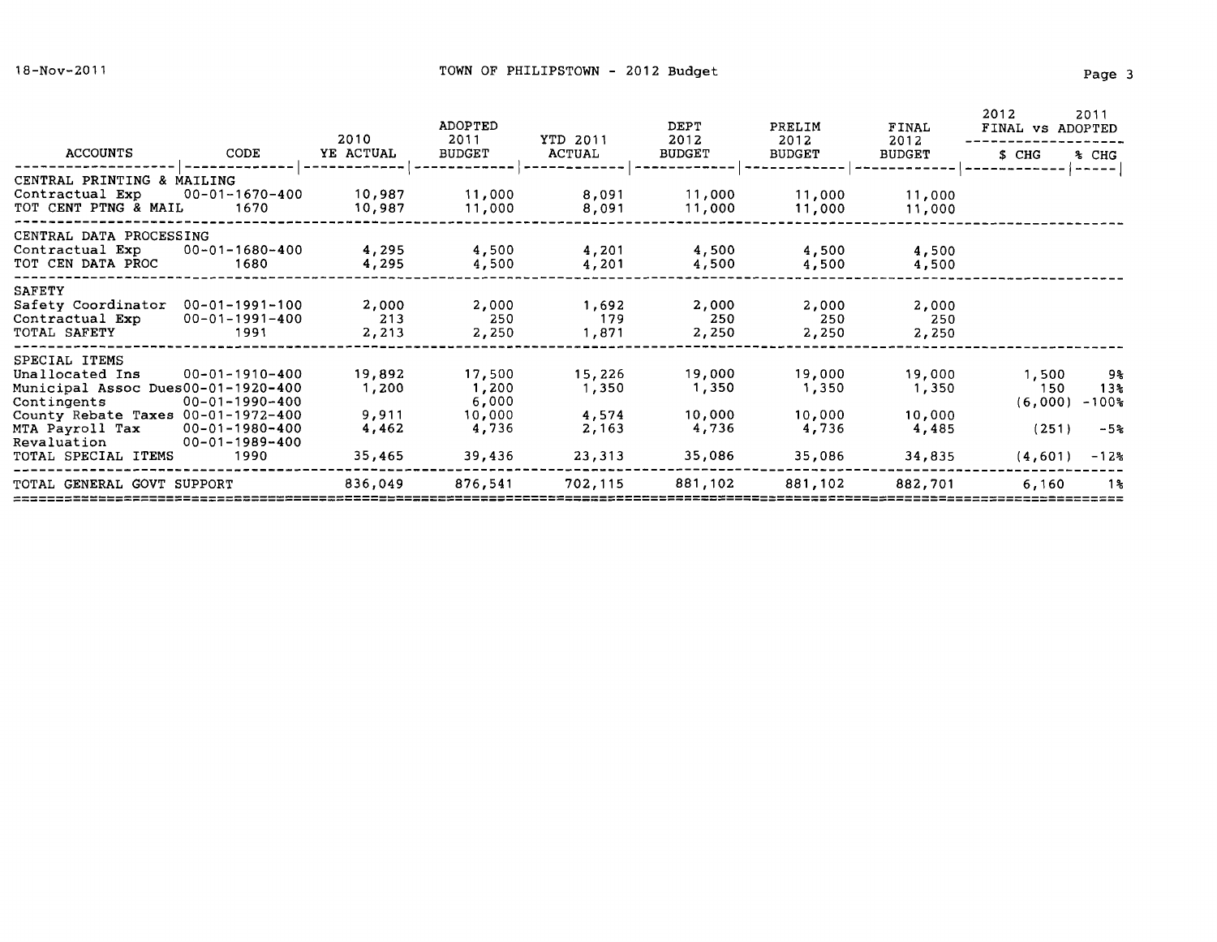|                                                                                                                                                |                                                                            | 2010                              | <b>ADOPTED</b><br>2011                      | YTD 2011                          | DEPT<br>2012                       | PRELIM<br>2012                     | FINAL<br>2012                      | 2012<br>FINAL vs ADOPTED         | 2011                           |
|------------------------------------------------------------------------------------------------------------------------------------------------|----------------------------------------------------------------------------|-----------------------------------|---------------------------------------------|-----------------------------------|------------------------------------|------------------------------------|------------------------------------|----------------------------------|--------------------------------|
| ACCOUNTS                                                                                                                                       | CODE                                                                       | YE ACTUAL                         | <b>BUDGET</b>                               | ACTUAL                            | <b>BUDGET</b>                      | <b>BUDGET</b>                      | <b>BUDGET</b>                      | \$ CHG                           | % CHG                          |
| CENTRAL PRINTING & MAILING<br>Contractual Exp<br>TOT CENT PTNG & MAIL                                                                          | 00-01-1670-400<br>1670                                                     | 10,987<br>10,987                  | 11,000<br>11,000                            | 8,091<br>8,091                    | 11,000<br>11,000                   | 11,000<br>11,000                   | 11,000<br>11,000                   |                                  |                                |
| CENTRAL DATA PROCESSING<br>Contractual Exp<br>TOT CEN DATA PROC                                                                                | $00 - 01 - 1680 - 400$<br>1680                                             | 4,295<br>4,295                    | 4,500<br>4,500                              | 4,201<br>4,201                    | 4,500<br>4,500                     | 4,500<br>4,500                     | 4,500<br>4,500                     |                                  |                                |
| <b>SAFETY</b><br>Safety Coordinator<br>Contractual Exp<br>TOTAL SAFETY                                                                         | $00 - 01 - 1991 - 100$<br>$00 - 01 - 1991 - 400$<br>1991                   | 2,000<br>213<br>2,213             | 2,000<br>250<br>2,250                       | 1,692<br>179<br>1,871             | 2,000<br>250<br>2,250              | 2,000<br>250<br>2,250              | 2,000<br>250<br>2,250              |                                  |                                |
| SPECIAL ITEMS<br>Unallocated Ins<br>Municipal Assoc Dues00-01-1920-400<br>Contingents<br>County Rebate Taxes 00-01-1972-400<br>MTA Payroll Tax | $00 - 01 - 1910 - 400$<br>$00 - 01 - 1990 - 400$<br>$00 - 01 - 1980 - 400$ | 19,892<br>1,200<br>9,911<br>4,462 | 17,500<br>1,200<br>6,000<br>10,000<br>4,736 | 15,226<br>1,350<br>4,574<br>2,163 | 19,000<br>1,350<br>10,000<br>4,736 | 19,000<br>1,350<br>10,000<br>4,736 | 19,000<br>1,350<br>10,000<br>4,485 | 1,500<br>150<br>(6,000)<br>(251) | 9%<br>13%<br>$-100$ %<br>$-5%$ |
| Revaluation<br>TOTAL SPECIAL ITEMS                                                                                                             | $00 - 01 - 1989 - 400$<br>1990                                             | 35,465                            | 39,436                                      | 23,313                            | 35,086                             | 35,086                             | 34,835                             | (4,601)                          | $-12$ s                        |
| TOTAL GENERAL GOVT SUPPORT                                                                                                                     |                                                                            | 836,049                           | 876,541                                     | 702,115                           | 881,102                            | 881,102                            | 882,701                            | 6,160                            | 1%                             |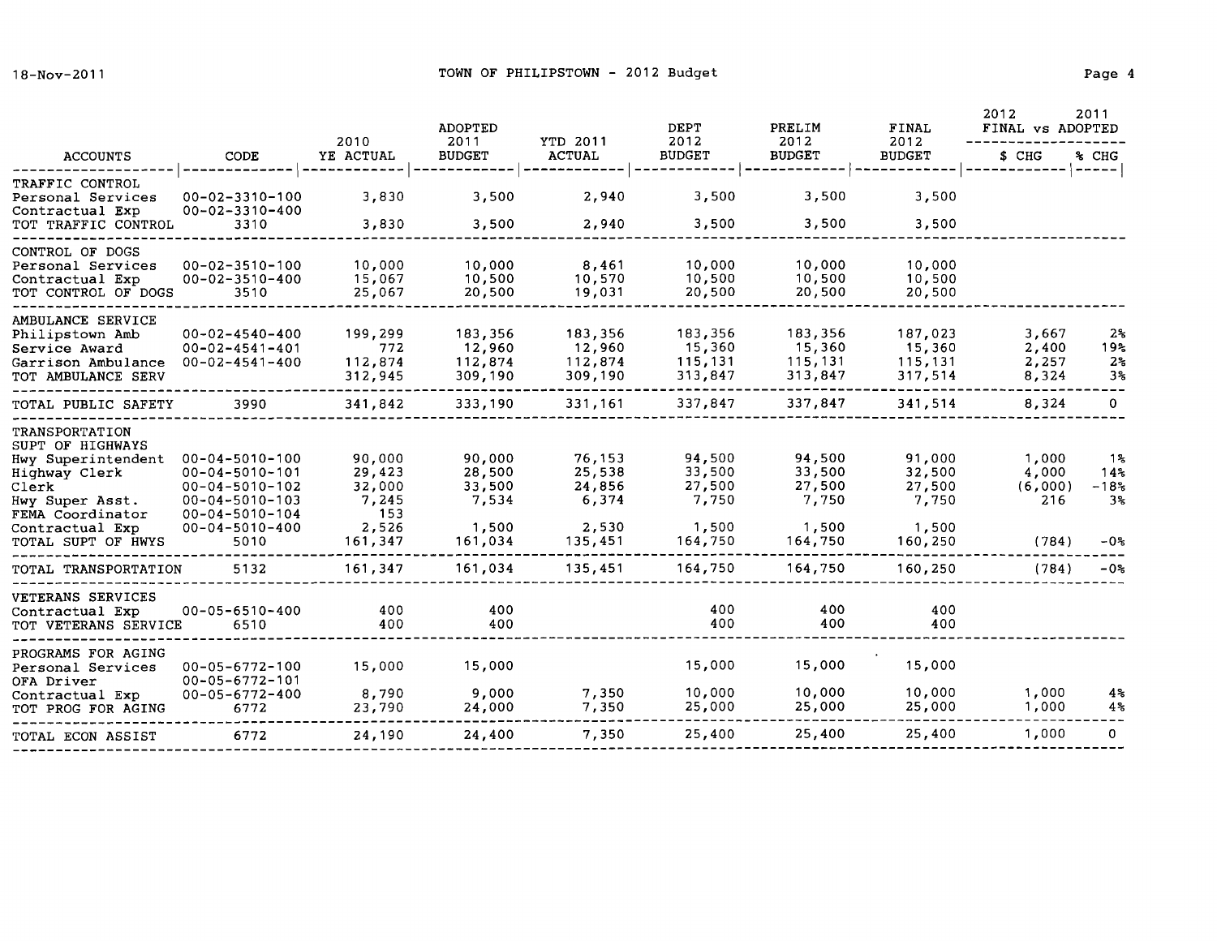|                                                                                                                                                                           |                                                                                                                                                                  | 2010                                                           | <b>ADOPTED</b><br>2011                                  | YTD 2011                                                | <b>DEPT</b><br>2012                                     | PRELIM<br>2012                                          | <b>FINAL</b><br>2012                                    | 2012<br>FINAL vs ADOPTED                  | 2011                                          |
|---------------------------------------------------------------------------------------------------------------------------------------------------------------------------|------------------------------------------------------------------------------------------------------------------------------------------------------------------|----------------------------------------------------------------|---------------------------------------------------------|---------------------------------------------------------|---------------------------------------------------------|---------------------------------------------------------|---------------------------------------------------------|-------------------------------------------|-----------------------------------------------|
| <b>ACCOUNTS</b>                                                                                                                                                           | <b>CODE</b>                                                                                                                                                      | YE ACTUAL                                                      | <b>BUDGET</b>                                           | <b>ACTUAL</b>                                           | <b>BUDGET</b>                                           | <b>BUDGET</b>                                           | <b>BUDGET</b>                                           | \$ CHG                                    | % CHG                                         |
| TRAFFIC CONTROL<br>Personal Services<br>Contractual Exp<br>TOT TRAFFIC CONTROL                                                                                            | $00 - 02 - 3310 - 100$<br>$00 - 02 - 3310 - 400$<br>3310                                                                                                         | 3,830<br>3,830                                                 | 3,500<br>3,500                                          | 2,940<br>2,940                                          | 3,500<br>3,500                                          | 3,500<br>3,500                                          | 3,500<br>3,500                                          |                                           | -----                                         |
| CONTROL OF DOGS<br>Personal Services<br>Contractual Exp<br>TOT CONTROL OF DOGS                                                                                            | $00 - 02 - 3510 - 100$<br>$00 - 02 - 3510 - 400$<br>3510                                                                                                         | 10,000<br>15,067<br>25,067                                     | 10,000<br>10,500<br>20,500                              | 8,461<br>10,570<br>19,031                               | 10,000<br>10,500<br>20,500                              | 10,000<br>10,500<br>20,500                              | 10,000<br>10,500<br>20,500                              |                                           |                                               |
| AMBULANCE SERVICE<br>Philipstown Amb<br>Service Award<br>Garrison Ambulance<br>TOT AMBULANCE SERV                                                                         | $00 - 02 - 4540 - 400$<br>$00 - 02 - 4541 - 401$<br>$00 - 02 - 4541 - 400$                                                                                       | 199,299<br>772<br>112,874<br>312,945                           | 183,356<br>12,960<br>112,874<br>309,190                 | 183,356<br>12,960<br>112,874<br>309,190                 | 183,356<br>15,360<br>115,131<br>313,847                 | 183,356<br>15,360<br>115,131<br>313,847                 | 187,023<br>15,360<br>115,131<br>317,514                 | 3,667<br>2,400<br>2,257<br>8,324          | 2 <sup>o</sup><br>19%<br>2 <sup>o</sup><br>3% |
| TOTAL PUBLIC SAFETY                                                                                                                                                       | 3990                                                                                                                                                             | 341,842                                                        | 333,190                                                 | 331,161                                                 | 337,847                                                 | 337,847                                                 | 341,514                                                 | 8,324                                     | $\mathbf{O}$                                  |
| <b>TRANSPORTATION</b><br>SUPT OF HIGHWAYS<br>Hwy Superintendent<br>Highway Clerk<br>Clerk<br>Hwy Super Asst.<br>FEMA Coordinator<br>Contractual Exp<br>TOTAL SUPT OF HWYS | $00 - 04 - 5010 - 100$<br>$00 - 04 - 5010 - 101$<br>$00 - 04 - 5010 - 102$<br>$00 - 04 - 5010 - 103$<br>$00 - 04 - 5010 - 104$<br>$00 - 04 - 5010 - 400$<br>5010 | 90,000<br>29,423<br>32,000<br>7,245<br>153<br>2,526<br>161,347 | 90,000<br>28,500<br>33,500<br>7,534<br>1,500<br>161,034 | 76,153<br>25,538<br>24,856<br>6,374<br>2,530<br>135,451 | 94,500<br>33,500<br>27,500<br>7,750<br>1,500<br>164,750 | 94,500<br>33,500<br>27,500<br>7,750<br>1,500<br>164,750 | 91,000<br>32,500<br>27,500<br>7,750<br>1,500<br>160,250 | 1,000<br>4,000<br>(6,000)<br>216<br>(784) | 1%<br>14.5<br>$-18%$<br>$3\%$<br>$-05$        |
| TOTAL TRANSPORTATION                                                                                                                                                      | 5132                                                                                                                                                             | 161,347                                                        | 161,034                                                 | 135,451                                                 | 164,750                                                 | 164,750                                                 | 160,250                                                 | (784)                                     | $-0s$                                         |
| VETERANS SERVICES<br>Contractual Exp<br>TOT VETERANS SERVICE                                                                                                              | $00 - 05 - 6510 - 400$<br>6510                                                                                                                                   | 400<br>400                                                     | 400<br>400                                              |                                                         | 400<br>400                                              | 400<br>400                                              | 400<br>400                                              |                                           |                                               |
| PROGRAMS FOR AGING<br>Personal Services<br>OFA Driver<br>Contractual Exp<br>TOT PROG FOR AGING                                                                            | $00 - 05 - 6772 - 100$<br>$00 - 05 - 6772 - 101$<br>$00 - 05 - 6772 - 400$<br>6772                                                                               | 15,000<br>8,790<br>23,790                                      | 15,000<br>9,000<br>24,000                               | 7,350<br>7,350                                          | 15,000<br>10,000<br>25,000                              | 15,000<br>10,000<br>25,000                              | 15,000<br>10,000<br>25,000                              | 1,000<br>1,000                            | $4\%$<br>4%                                   |
| TOTAL ECON ASSIST                                                                                                                                                         | 6772                                                                                                                                                             | 24,190                                                         | 24,400                                                  | 7,350                                                   | 25,400                                                  | 25,400                                                  | 25,400                                                  | 1,000                                     | 0                                             |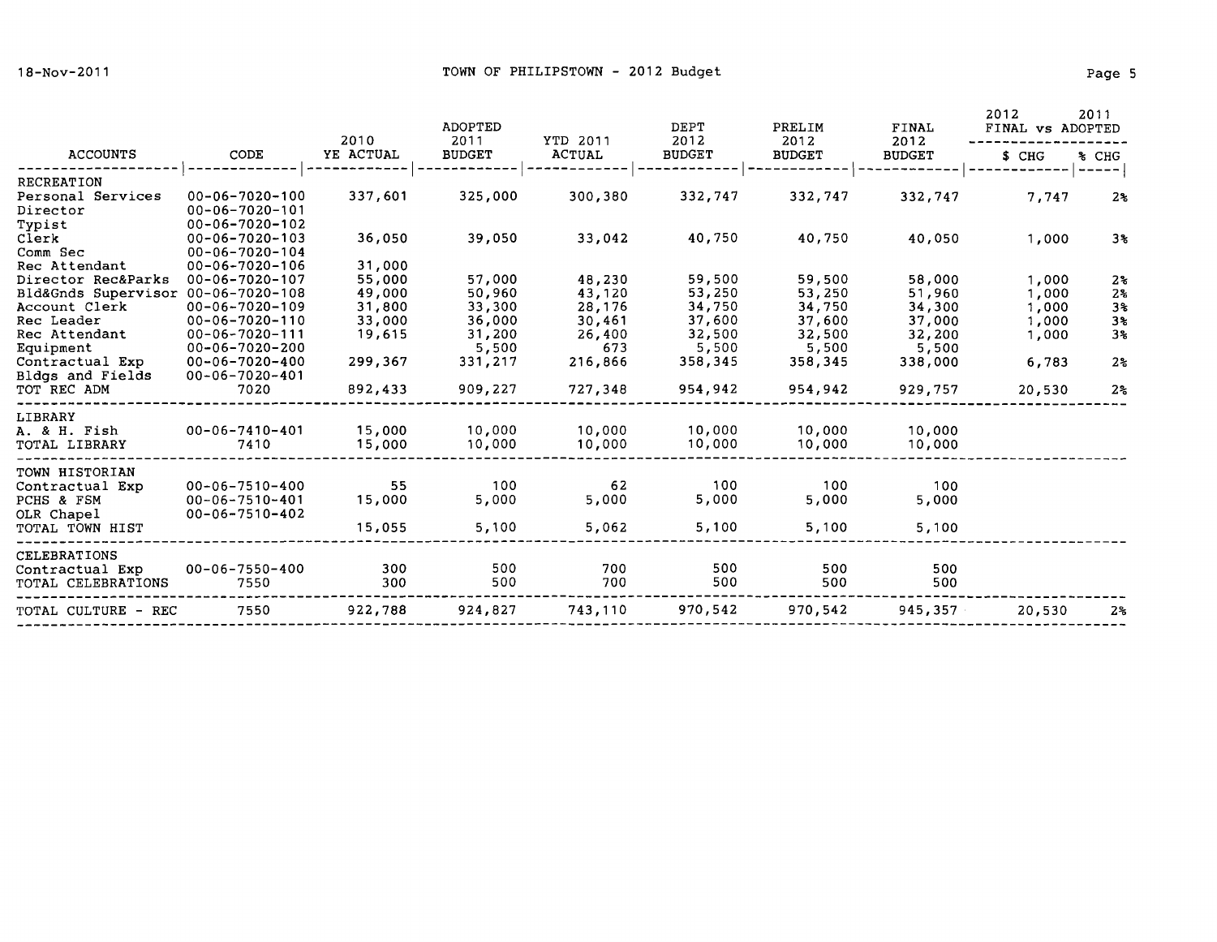|                                 |                                                  | 2010      | <b>ADOPTED</b><br>2011 | YTD 2011      | DEPT<br>2012  | PRELIM<br>2012 | FINAL<br>2012 | 2012<br>FINAL vs ADOPTED | 2011                       |
|---------------------------------|--------------------------------------------------|-----------|------------------------|---------------|---------------|----------------|---------------|--------------------------|----------------------------|
| <b>ACCOUNTS</b>                 | CODE                                             | YE ACTUAL | <b>BUDGET</b>          | <b>ACTUAL</b> | <b>BUDGET</b> | <b>BUDGET</b>  | <b>BUDGET</b> | \$ CHG                   | % CHG<br>$\qquad \qquad -$ |
| <b>RECREATION</b>               |                                                  |           |                        |               |               |                |               |                          |                            |
| Personal Services               | $00 - 06 - 7020 - 100$                           | 337,601   | 325,000                | 300,380       | 332,747       | 332,747        | 332,747       | 7,747                    | $2\%$                      |
| Director                        | $00 - 06 - 7020 - 101$                           |           |                        |               |               |                |               |                          |                            |
| Typist                          | $00 - 06 - 7020 - 102$                           |           |                        |               |               |                |               |                          |                            |
| Clerk                           | $00 - 06 - 7020 - 103$                           | 36,050    | 39,050                 | 33,042        | 40,750        | 40,750         | 40,050        | 1,000                    | 3%                         |
| Comm Sec                        | $00 - 06 - 7020 - 104$                           |           |                        |               |               |                |               |                          |                            |
| Rec Attendant                   | $00 - 06 - 7020 - 106$                           | 31,000    |                        |               |               |                |               |                          |                            |
| Director Rec&Parks              | $00 - 06 - 7020 - 107$                           | 55,000    | 57,000                 | 48,230        | 59,500        | 59,500         | 58,000        | 1,000                    | 2 <sub>5</sub>             |
| Bld&Gnds Supervisor             | $00 - 06 - 7020 - 108$                           | 49,000    | 50,960                 | 43,120        | 53,250        | 53,250         | 51,960        | 1,000                    | 2 <sub>5</sub>             |
| Account Clerk                   | $00 - 06 - 7020 - 109$                           | 31,800    | 33,300                 | 28,176        | 34,750        | 34,750         | 34,300        | 1,000                    | 3 <sup>2</sup>             |
| Rec Leader                      | $00 - 06 - 7020 - 110$                           | 33,000    | 36,000                 | 30,461        | 37,600        | 37,600         | 37,000        | 1,000                    | 3 <sup>8</sup>             |
| Rec Attendant                   | $00 - 06 - 7020 - 111$                           | 19,615    | 31,200                 | 26,400        | 32,500        | 32,500         | 32,200        | 1,000                    | $3\%$                      |
| Equipment                       | $00 - 06 - 7020 - 200$                           |           | 5,500                  | 673           | 5,500         | 5,500          | 5,500         |                          |                            |
| Contractual Exp                 | $00 - 06 - 7020 - 400$                           | 299,367   | 331,217                | 216,866       | 358,345       | 358,345        | 338,000       | 6,783                    | 2 <sub>5</sub>             |
| Bldgs and Fields<br>TOT REC ADM | $00 - 06 - 7020 - 401$                           |           |                        |               |               |                |               |                          |                            |
|                                 | 7020                                             | 892,433   | 909,227                | 727,348       | 954,942       | 954,942        | 929,757       | 20,530                   | 2 <sub>5</sub>             |
| LIBRARY                         |                                                  |           |                        |               |               |                |               |                          |                            |
| A. & H. Fish                    | $00 - 06 - 7410 - 401$                           | 15,000    | 10,000                 | 10,000        | 10,000        | 10,000         | 10,000        |                          |                            |
| TOTAL LIBRARY                   | 7410                                             | 15,000    | 10,000                 | 10,000        | 10,000        | 10,000         | 10,000        |                          |                            |
|                                 |                                                  |           |                        |               |               |                |               |                          |                            |
| TOWN HISTORIAN                  |                                                  | 55        | 100                    | 62            | 100           | 100            | 100           |                          |                            |
| Contractual Exp                 | $00 - 06 - 7510 - 400$                           |           | 5,000                  |               |               |                |               |                          |                            |
| PCHS & FSM                      | $00 - 06 - 7510 - 401$<br>$00 - 06 - 7510 - 402$ | 15,000    |                        | 5,000         | 5,000         | 5,000          | 5,000         |                          |                            |
| OLR Chapel<br>TOTAL TOWN HIST   |                                                  | 15,055    | 5,100                  | 5,062         | 5,100         | 5,100          | 5,100         |                          |                            |
|                                 |                                                  |           |                        |               |               |                |               |                          |                            |
| <b>CELEBRATIONS</b>             |                                                  |           |                        |               |               |                |               |                          |                            |
| Contractual Exp                 | $00 - 06 - 7550 - 400$                           | 300       | 500                    | 700           | 500           | 500            | 500           |                          |                            |
| TOTAL CELEBRATIONS              | 7550                                             | 300       | 500                    | 700           | 500           | 500            | 500           |                          |                            |
| TOTAL CULTURE - REC             | 7550                                             | 922,788   | 924,827                | 743,110       | 970,542       | 970,542        | 945,357       | 20,530                   | 2 <sub>5</sub>             |
|                                 |                                                  |           |                        |               |               |                |               |                          |                            |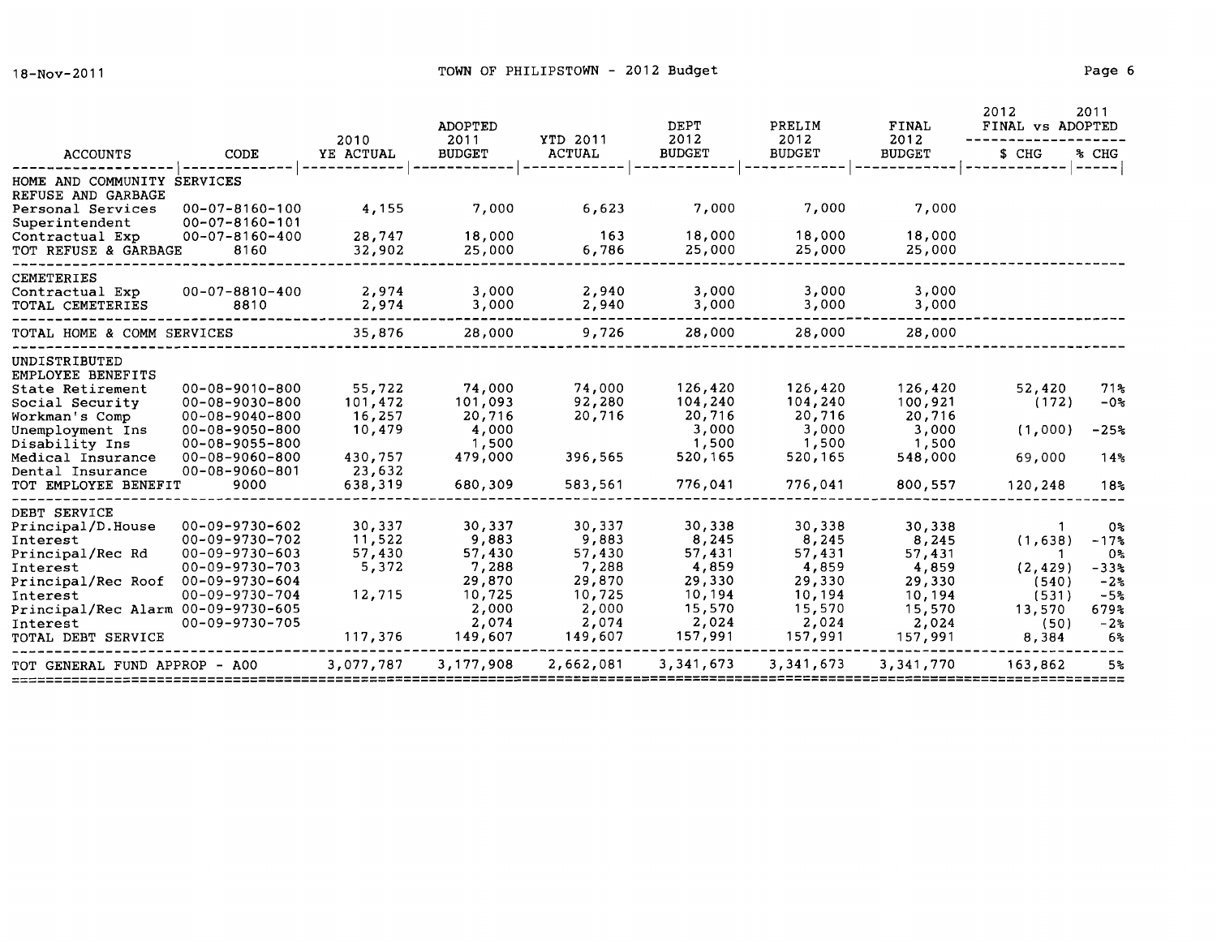|                                                                      |                                                                            | 2010                        | ADOPTED<br>2011             | <b>YTD 2011</b>            | DEPT<br>2012                 | PRELIM<br>2012               | FINAL<br>2012                | 2012<br>FINAL vs ADOPTED   | 2011                            |
|----------------------------------------------------------------------|----------------------------------------------------------------------------|-----------------------------|-----------------------------|----------------------------|------------------------------|------------------------------|------------------------------|----------------------------|---------------------------------|
| <b>ACCOUNTS</b>                                                      | CODE                                                                       | YE ACTUAL                   | <b>BUDGET</b>               | <b>ACTUAL</b>              | <b>BUDGET</b>                | <b>BUDGET</b>                | <b>BUDGET</b>                | \$ CHG                     | % CHG                           |
| HOME AND COMMUNITY SERVICES<br>REFUSE AND GARBAGE                    |                                                                            |                             |                             |                            |                              |                              |                              |                            |                                 |
| Personal Services<br>Superintendent                                  | $00 - 07 - 8160 - 100$<br>$00 - 07 - 8160 - 101$                           | 4,155                       | 7,000                       | 6,623                      | 7,000                        | 7,000                        | 7,000                        |                            |                                 |
| Contractual Exp<br>TOT REFUSE & GARBAGE                              | $00 - 07 - 8160 - 400$<br>8160                                             | 28,747<br>32,902            | 18,000<br>25,000            | 163<br>6,786               | 18,000<br>25,000             | 18,000<br>25,000             | 18,000<br>25,000             |                            |                                 |
| CEMETERIES                                                           |                                                                            |                             |                             |                            |                              |                              |                              |                            |                                 |
| Contractual Exp<br>TOTAL CEMETERIES                                  | 00-07-8810-400<br>8810                                                     | 2,974<br>2,974              | 3,000<br>3,000              | 2,940<br>2,940             | 3,000<br>3,000               | 3,000<br>3,000               | 3,000<br>3,000               |                            |                                 |
| TOTAL HOME & COMM SERVICES                                           |                                                                            | 35,876                      | 28,000                      | 9,726                      | 28,000                       | 28,000                       | 28,000                       |                            |                                 |
| UNDISTRIBUTED<br>EMPLOYEE BENEFITS                                   |                                                                            |                             |                             |                            |                              |                              |                              |                            |                                 |
| State Retirement<br>Social Security<br>Workman's Comp                | $00 - 08 - 9010 - 800$<br>$00 - 08 - 9030 - 800$<br>$00 - 08 - 9040 - 800$ | 55,722<br>101,472<br>16,257 | 74,000<br>101,093<br>20,716 | 74,000<br>92,280<br>20,716 | 126,420<br>104,240<br>20,716 | 126,420<br>104,240<br>20,716 | 126,420<br>100,921<br>20,716 | 52,420<br>(172)            | 71%<br>$-08$                    |
| Unemployment Ins<br>Disability Ins                                   | $00 - 08 - 9050 - 800$<br>$00 - 08 - 9055 - 800$                           | 10,479                      | 4,000<br>1,500              |                            | 3,000<br>1,500               | 3,000<br>1,500               | 3,000<br>1,500               | (1,000)                    | $-25%$                          |
| Medical Insurance<br>Dental Insurance                                | $00 - 08 - 9060 - 800$<br>$00 - 08 - 9060 - 801$                           | 430,757<br>23,632           | 479,000                     | 396,565                    | 520,165                      | 520,165                      | 548,000                      | 69,000                     | 14 <sup>°</sup>                 |
| TOT EMPLOYEE BENEFIT                                                 | 9000                                                                       | 638,319                     | 680,309                     | 583,561                    | 776,041                      | 776,041                      | 800,557                      | 120,248                    | 18 <sup>2</sup>                 |
| DEBT SERVICE<br>Principal/D.House<br>Interest<br>Principal/Rec Rd    | $00 - 09 - 9730 - 602$<br>$00 - 09 - 9730 - 702$<br>$00 - 09 - 9730 - 603$ | 30,337<br>11,522<br>57,430  | 30,337<br>9,883<br>57,430   | 30,337<br>9,883<br>57,430  | 30,338<br>8,245<br>57,431    | 30,338<br>8,245<br>57,431    | 30,338<br>8,245<br>57,431    | (1,638)                    | 0%<br>$-17%$<br>0%              |
| Interest<br>Principal/Rec Roof<br>Interest                           | 00-09-9730-703<br>$00 - 09 - 9730 - 604$<br>$00 - 09 - 9730 - 704$         | 5,372<br>12,715             | 7,288<br>29,870<br>10,725   | 7,288<br>29,870<br>10,725  | 4,859<br>29,330<br>10,194    | 4,859<br>29,330<br>10,194    | 4,859<br>29,330<br>10,194    | (2, 429)<br>(540)<br>(531) | $-33$ %<br>$-28$<br>$-5%$       |
| Principal/Rec Alarm 00-09-9730-605<br>Interest<br>TOTAL DEBT SERVICE | $00 - 09 - 9730 - 705$                                                     | 117,376                     | 2,000<br>2,074<br>149,607   | 2,000<br>2,074<br>149,607  | 15,570<br>2,024<br>157,991   | 15,570<br>2,024<br>157,991   | 15,570<br>2,024<br>157,991   | 13,570<br>(50)<br>8,384    | 679%<br>$-2o$<br>6 <sup>°</sup> |
| TOT GENERAL FUND APPROP - A00                                        |                                                                            | 3,077,787                   | 3,177,908                   | 2,662,081                  | 3, 341, 673                  | 3, 341, 673                  | 3,341,770                    | 163,862                    | 5%                              |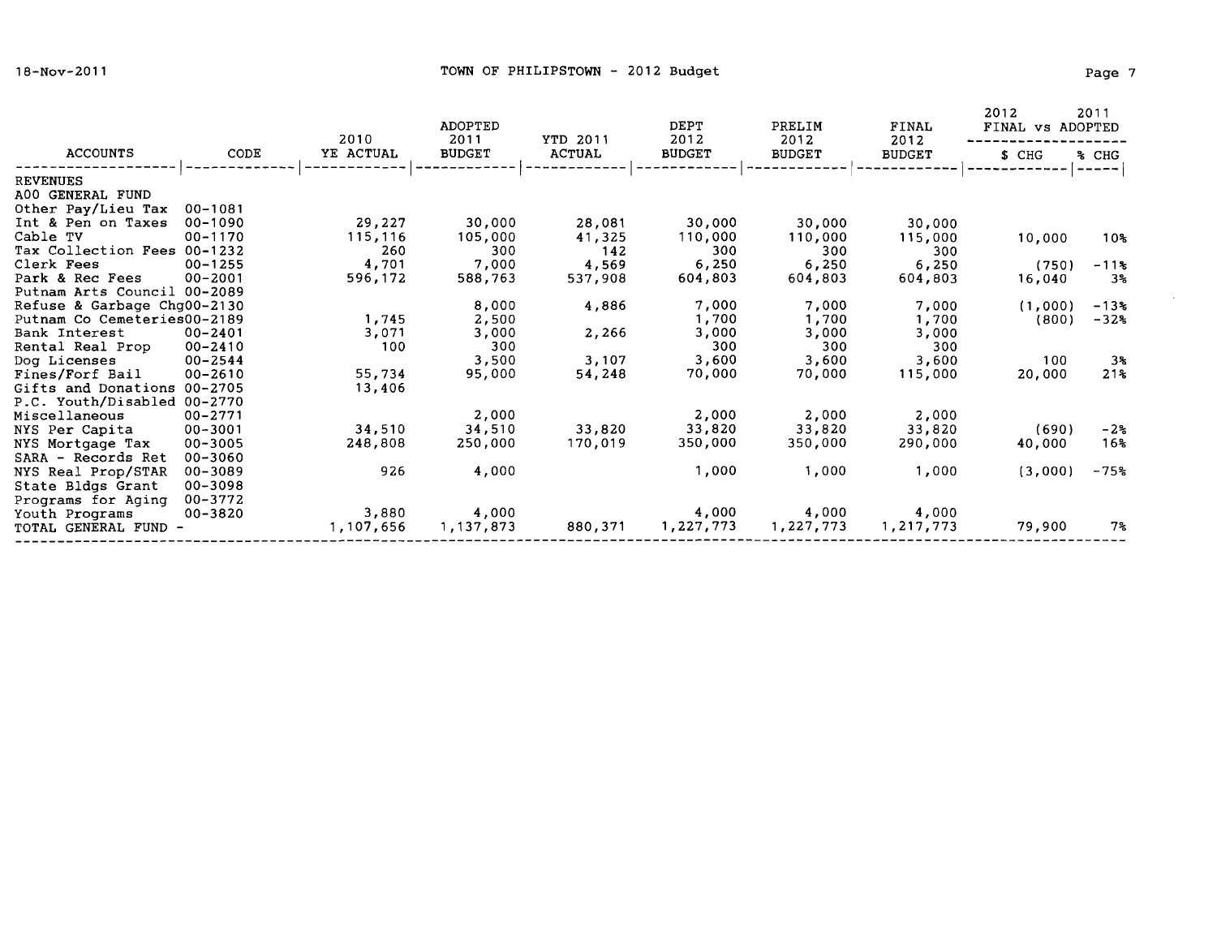$\sim 10^{-1}$ 

|                             |             | 2010      | <b>ADOPTED</b><br>2011 | YTD 2011      | DEPT<br>2012  | PRELIM<br>2012 | FINAL<br>2012 | 2012<br>FINAL vs ADOPTED | 2011                |
|-----------------------------|-------------|-----------|------------------------|---------------|---------------|----------------|---------------|--------------------------|---------------------|
| <b>ACCOUNTS</b>             | CODE        | YE ACTUAL | <b>BUDGET</b>          | <b>ACTUAL</b> | <b>BUDGET</b> | <b>BUDGET</b>  | <b>BUDGET</b> | S CHG                    | % CHG               |
| <b>REVENUES</b>             |             |           |                        |               |               |                |               |                          | .                   |
| A00 GENERAL FUND            |             |           |                        |               |               |                |               |                          |                     |
| Other Pay/Lieu Tax          | $00 - 1081$ |           |                        |               |               |                |               |                          |                     |
| Int & Pen on Taxes          | $00 - 1090$ | 29,227    | 30,000                 | 28,081        | 30,000        | 30,000         | 30,000        |                          |                     |
| Cable TV                    | $00 - 1170$ | 115,116   | 105,000                | 41,325        | 110,000       | 110,000        | 115,000       | 10,000                   | 10%                 |
| Tax Collection Fees 00-1232 |             | 260       | 300                    | 142           | 300           | 300            | 300           |                          |                     |
| Clerk Fees                  | $00 - 1255$ | 4,701     | 7,000                  | 4,569         | 6,250         | 6,250          | 6,250         | (750)                    | $-11$ $\frac{1}{6}$ |
| Park & Rec Fees             | $00 - 2001$ | 596,172   | 588,763                | 537,908       | 604,803       | 604,803        | 604,803       | 16,040                   | 3%                  |
| Putnam Arts Council 00-2089 |             |           |                        |               |               |                |               |                          |                     |
| Refuse & Garbage Chg00-2130 |             |           | 8,000                  | 4,886         | 7,000         | 7,000          | 7,000         | (1,000)                  | $-13%$              |
| Putnam Co Cemeteries00-2189 |             | 1,745     | 2,500                  |               | 1,700         | 1,700          | 1,700         | (800)                    | $-32%$              |
| Bank Interest               | $00 - 2401$ | 3,071     | 3,000                  | 2,266         | 3,000         | 3,000          | 3,000         |                          |                     |
| Rental Real Prop            | $00 - 2410$ | 100       | 300                    |               | 300           | 300            | 300           |                          |                     |
| Dog Licenses                | $00 - 2544$ |           | 3,500                  | 3,107         | 3,600         | 3,600          | 3,600         | 100                      | $3*$                |
| Fines/Forf Bail             | $00 - 2610$ | 55,734    | 95,000                 | 54,248        | 70,000        | 70,000         | 115,000       | 20,000                   | 21%                 |
| Gifts and Donations 00-2705 |             | 13,406    |                        |               |               |                |               |                          |                     |
| P.C. Youth/Disabled 00-2770 |             |           |                        |               |               |                |               |                          |                     |
| Miscellaneous               | $00 - 2771$ |           | 2,000                  |               | 2,000         | 2,000          | 2,000         |                          |                     |
| NYS Per Capita              | $00 - 3001$ | 34,510    | 34,510                 | 33,820        | 33,820        | 33,820         | 33,820        | (690)                    | $-2\epsilon$        |
| NYS Mortgage Tax            | $00 - 3005$ | 248,808   | 250,000                | 170,019       | 350,000       | 350,000        | 290,000       | 40,000                   | 16 <sub>8</sub>     |
| SARA - Records Ret          | $00 - 3060$ |           |                        |               |               |                |               |                          |                     |
| NYS Real Prop/STAR          | 00-3089     | 926       | 4,000                  |               | 1,000         | 1,000          | 1,000         | (3,000)                  | $-75%$              |
| State Bldgs Grant           | $00 - 3098$ |           |                        |               |               |                |               |                          |                     |
| Programs for Aging          | $00 - 3772$ |           |                        |               |               |                |               |                          |                     |
| Youth Programs              | 00-3820     | 3,880     | 4,000                  |               | 4,000         | 4,000          | 4,000         |                          |                     |
| TOTAL GENERAL FUND          |             | 1,107,656 | 1,137,873              | 880,371       | 1,227,773     | 1,227,773      | 1,217,773     | 79,900                   | $7\,$               |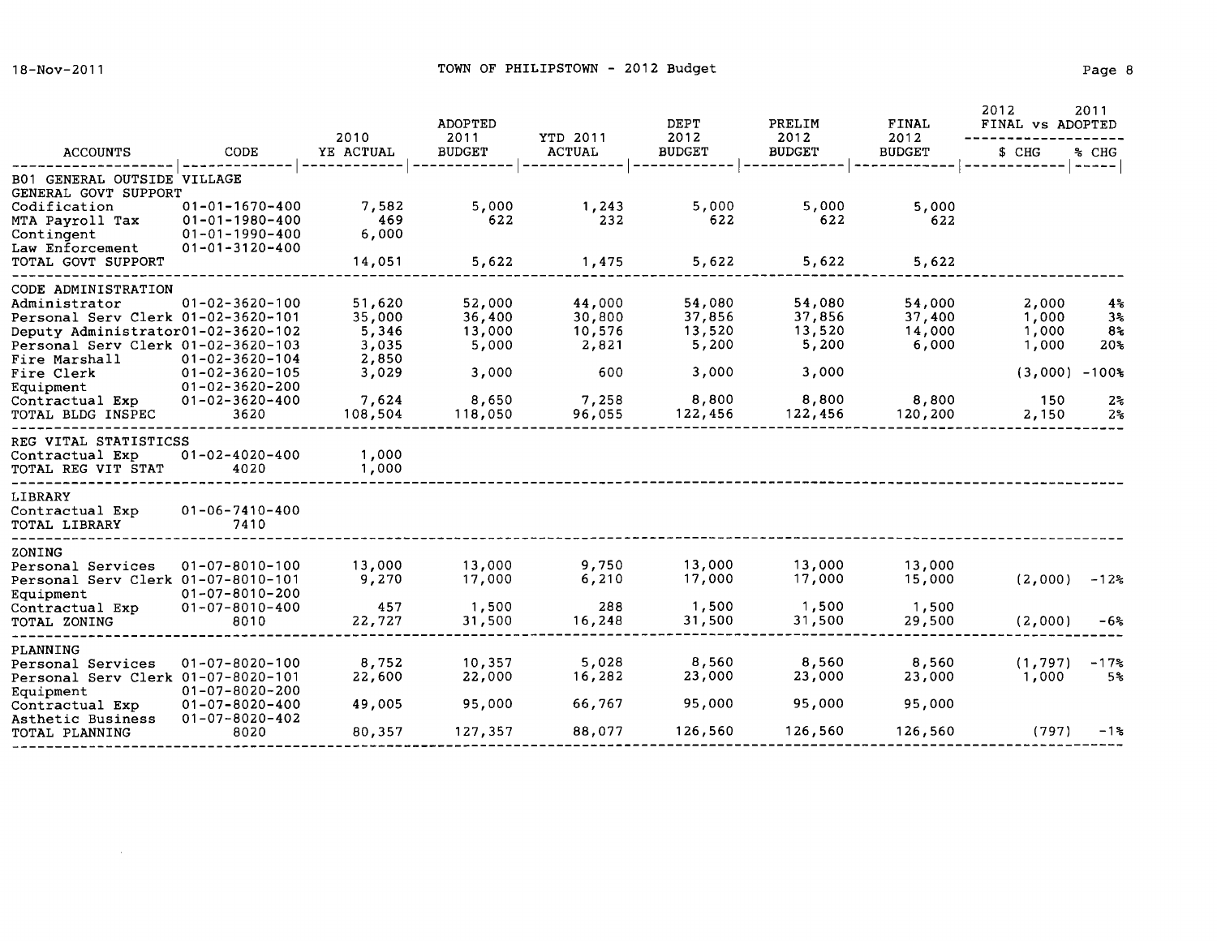$\sim 10^{11}$ 

|                                                                                           |                                                          | 2010                      | <b>ADOPTED</b><br>2011     | YTD 2011                   | <b>DEPT</b><br>2012        | PRELIM<br>2012             | FINAL<br>2012              | 2012<br>FINAL VS ADOPTED | 2011                       |
|-------------------------------------------------------------------------------------------|----------------------------------------------------------|---------------------------|----------------------------|----------------------------|----------------------------|----------------------------|----------------------------|--------------------------|----------------------------|
| <b>ACCOUNTS</b>                                                                           | CODE                                                     | YE ACTUAL                 | <b>BUDGET</b>              | <b>ACTUAL</b>              | <b>BUDGET</b>              | <b>BUDGET</b>              | <b>BUDGET</b>              | \$ CHG                   | % CHG<br>-----             |
| B01 GENERAL OUTSIDE VILLAGE<br>GENERAL GOVT SUPPORT                                       |                                                          |                           |                            |                            |                            |                            |                            |                          |                            |
| Codification<br>MTA Payroll Tax                                                           | $01 - 01 - 1670 - 400$<br>$01 - 01 - 1980 - 400$         | 7,582<br>469              | 5,000<br>622               | 1,243<br>232               | 5,000<br>622               | 5,000<br>622               | 5,000<br>622               |                          |                            |
| Contingent<br>Law Enforcement<br>TOTAL GOVT SUPPORT                                       | $01 - 01 - 1990 - 400$<br>$01 - 01 - 3120 - 400$         | 6,000<br>14,051           | 5,622                      | 1,475                      | 5,622                      | 5,622                      | 5,622                      |                          |                            |
| CODE ADMINISTRATION                                                                       |                                                          |                           |                            |                            |                            |                            |                            |                          |                            |
| Administrator<br>Personal Serv Clerk 01-02-3620-101<br>Deputy Administrator01-02-3620-102 | $01 - 02 - 3620 - 100$                                   | 51,620<br>35,000<br>5,346 | 52,000<br>36,400<br>13,000 | 44,000<br>30,800<br>10,576 | 54,080<br>37,856<br>13,520 | 54,080<br>37,856<br>13,520 | 54,000<br>37,400<br>14,000 | 2,000<br>1,000<br>1,000  | 4%<br>3 <sub>3</sub><br>8% |
| Personal Serv Clerk 01-02-3620-103<br>Fire Marshall<br>Fire Clerk                         | $01 - 02 - 3620 - 104$<br>$01 - 02 - 3620 - 105$         | 3,035<br>2,850            | 5,000<br>3,000             | 2,821<br>600               | 5,200<br>3,000             | 5,200<br>3,000             | 6,000                      | 1,000<br>$(3,000)$ -100% | 20%                        |
| Equipment<br>Contractual Exp                                                              | $01 - 02 - 3620 - 200$<br>$01 - 02 - 3620 - 400$         | 3,029<br>7,624            | 8,650                      | 7,258                      | 8,800                      | 8,800                      | 8,800                      | 150                      | $2\,$                      |
| TOTAL BLDG INSPEC                                                                         | 3620                                                     | 108,504                   | 118,050                    | 96,055                     | 122,456                    | 122,456                    | 120,200                    | 2,150                    | $2\,$                      |
| REG VITAL STATISTICSS<br>Contractual Exp<br>TOTAL REG VIT STAT                            | $01 - 02 - 4020 - 400$<br>4020                           | 1,000<br>1,000            |                            |                            |                            |                            |                            |                          |                            |
| LIBRARY<br>Contractual Exp<br>TOTAL LIBRARY                                               | $01 - 06 - 7410 - 400$<br>7410                           |                           |                            |                            |                            |                            |                            |                          |                            |
| ZONING<br>Personal Services<br>Personal Serv Clerk 01-07-8010-101                         | $01 - 07 - 8010 - 100$<br>$01 - 07 - 8010 - 200$         | 13,000<br>9,270           | 13,000<br>17,000           | 9,750<br>6,210             | 13,000<br>17,000           | 13,000<br>17,000           | 13,000<br>15,000           | (2,000)                  | $-12%$                     |
| Equipment<br>Contractual Exp<br>TOTAL ZONING                                              | $01 - 07 - 8010 - 400$<br>8010                           | 457<br>22,727             | 1,500<br>31,500            | 288<br>16,248              | 1,500<br>31,500            | 1,500<br>31,500            | 1,500<br>29,500            | (2,000)                  | -6%                        |
| PLANNING<br>Personal Services                                                             | $01 - 07 - 8020 - 100$                                   | 8,752                     | 10,357                     | 5,028                      | 8,560                      | 8,560                      | 8,560                      | (1, 797)                 | $-17$ %                    |
| Personal Serv Clerk 01-07-8020-101<br>Equipment                                           | $01 - 07 - 8020 - 200$                                   | 22,600                    | 22,000                     | 16,282                     | 23,000                     | 23,000                     | 23,000                     | 1,000                    | 5%ะ                        |
| Contractual Exp<br>Asthetic Business<br>TOTAL PLANNING                                    | $01 - 07 - 8020 - 400$<br>$01 - 07 - 8020 - 402$<br>8020 | 49,005<br>80,357          | 95,000<br>127,357          | 66,767<br>88,077           | 95,000<br>126,560          | 95,000<br>126,560          | 95,000<br>126,560          | (797)                    | $-1$ %                     |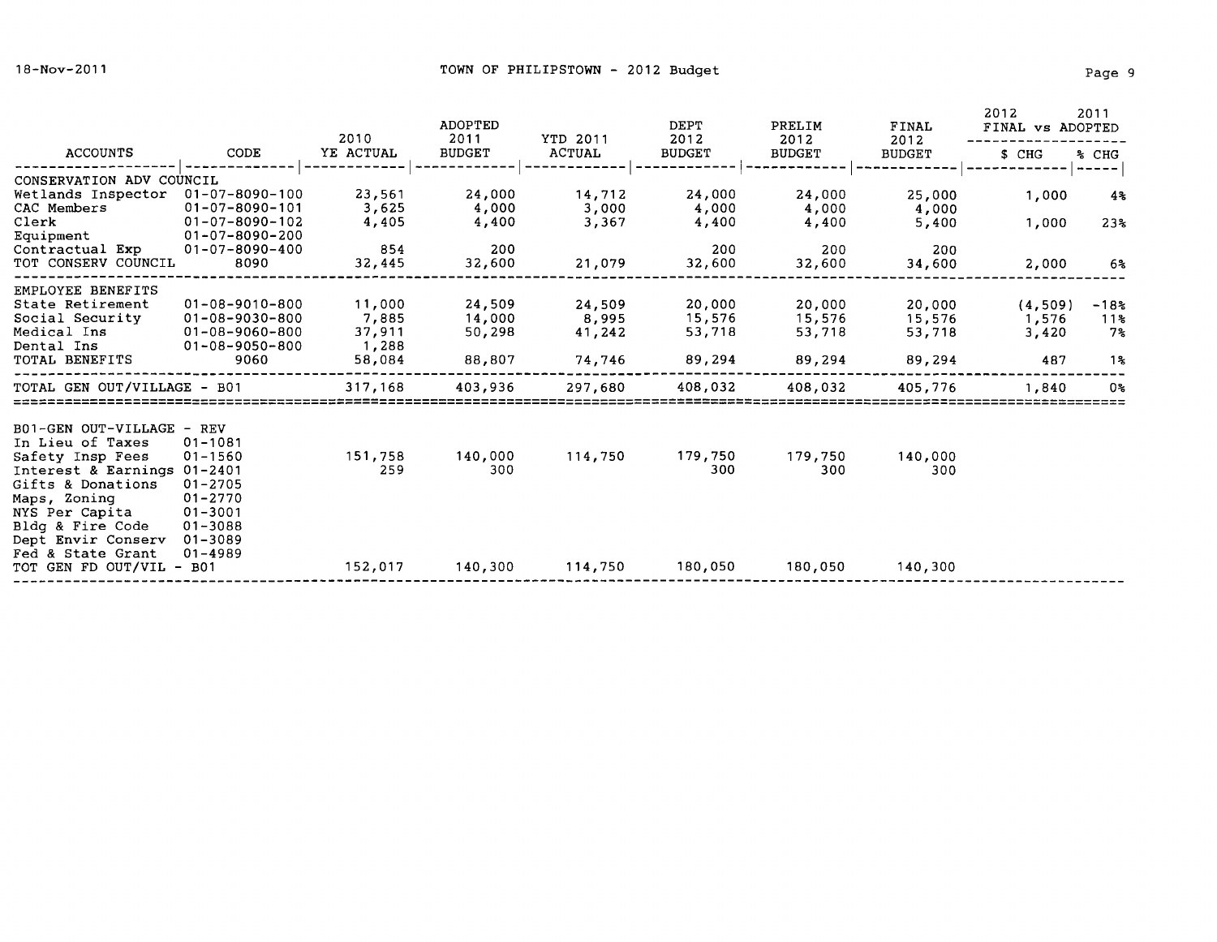|                                                                                                                                                                                                                  |                                                                                                                               | 2010                                         | <b>ADOPTED</b><br>2011               | YTD 2011                            | DEPT<br>2012                         | PRELIM<br>2012                       | FINAL<br>2012                        | 2012<br>2011<br>FINAL vs ADOPTED |                               |
|------------------------------------------------------------------------------------------------------------------------------------------------------------------------------------------------------------------|-------------------------------------------------------------------------------------------------------------------------------|----------------------------------------------|--------------------------------------|-------------------------------------|--------------------------------------|--------------------------------------|--------------------------------------|----------------------------------|-------------------------------|
| <b>ACCOUNTS</b>                                                                                                                                                                                                  | CODE                                                                                                                          | YE ACTUAL                                    | <b>BUDGET</b>                        | <b>ACTUAL</b>                       | <b>BUDGET</b>                        | <b>BUDGET</b>                        | <b>BUDGET</b>                        | \$ CHG                           | % CHG                         |
| CONSERVATION ADV COUNCIL                                                                                                                                                                                         |                                                                                                                               |                                              |                                      |                                     |                                      |                                      |                                      |                                  |                               |
| Wetlands Inspector<br>CAC Members<br>Clerk<br>Equipment                                                                                                                                                          | $01 - 07 - 8090 - 100$<br>$01 - 07 - 8090 - 101$<br>$01 - 07 - 8090 - 102$<br>$01 - 07 - 8090 - 200$                          | 23,561<br>3,625<br>4,405                     | 24,000<br>4,000<br>4,400             | 14,712<br>3,000<br>3,367            | 24,000<br>4,000<br>4,400             | 24,000<br>4,000<br>4,400             | 25,000<br>4,000<br>5,400             | 1,000<br>1,000                   | 4%<br>23 <sub>3</sub>         |
| Contractual Exp<br>TOT CONSERV COUNCIL                                                                                                                                                                           | 01-07-8090-400<br>8090                                                                                                        | 854<br>32,445                                | 200<br>32,600                        | 21,079                              | 200<br>32,600                        | 200<br>32,600                        | 200<br>34,600                        | 2,000                            | 6%                            |
| EMPLOYEE BENEFITS<br>State Retirement<br>Social Security<br>Medical Ins<br>Dental Ins<br>TOTAL BENEFITS                                                                                                          | $01 - 08 - 9010 - 800$<br>$01 - 08 - 9030 - 800$<br>01-08-9060-800<br>01-08-9050-800<br>9060                                  | 11,000<br>7,885<br>37,911<br>1,288<br>58,084 | 24,509<br>14,000<br>50,298<br>88,807 | 24,509<br>8,995<br>41,242<br>74,746 | 20,000<br>15,576<br>53,718<br>89,294 | 20,000<br>15,576<br>53,718<br>89,294 | 20,000<br>15,576<br>53,718<br>89,294 | (4,509)<br>1,576<br>3,420<br>487 | $-18.3$<br>11동<br>$7\%$<br>1% |
| TOTAL GEN OUT/VILLAGE - B01                                                                                                                                                                                      |                                                                                                                               | 317,168                                      | 403,936                              | 297,680                             | 408,032                              | 408,032                              | 405,776                              | 1,840                            | 0%                            |
| B01-GEN OUT-VILLAGE<br>In Lieu of Taxes<br>Safety Insp Fees<br>Interest & Earnings 01-2401<br>Gifts & Donations<br>Maps, Zoning<br>NYS Per Capita<br>Bldg & Fire Code<br>Dept Envir Conserv<br>Fed & State Grant | - REV<br>$01 - 1081$<br>$01 - 1560$<br>$01 - 2705$<br>$01 - 2770$<br>$01 - 3001$<br>$01 - 3088$<br>$01 - 3089$<br>$01 - 4989$ | 151,758<br>259                               | 140,000<br>300                       | 114,750                             | 179,750<br>300                       | 179,750<br>300                       | 140,000<br>300                       |                                  |                               |
| TOT GEN FD OUT/VIL - B01                                                                                                                                                                                         |                                                                                                                               | 152,017                                      | 140,300                              | 114,750                             | 180,050                              | 180,050                              | 140,300                              |                                  |                               |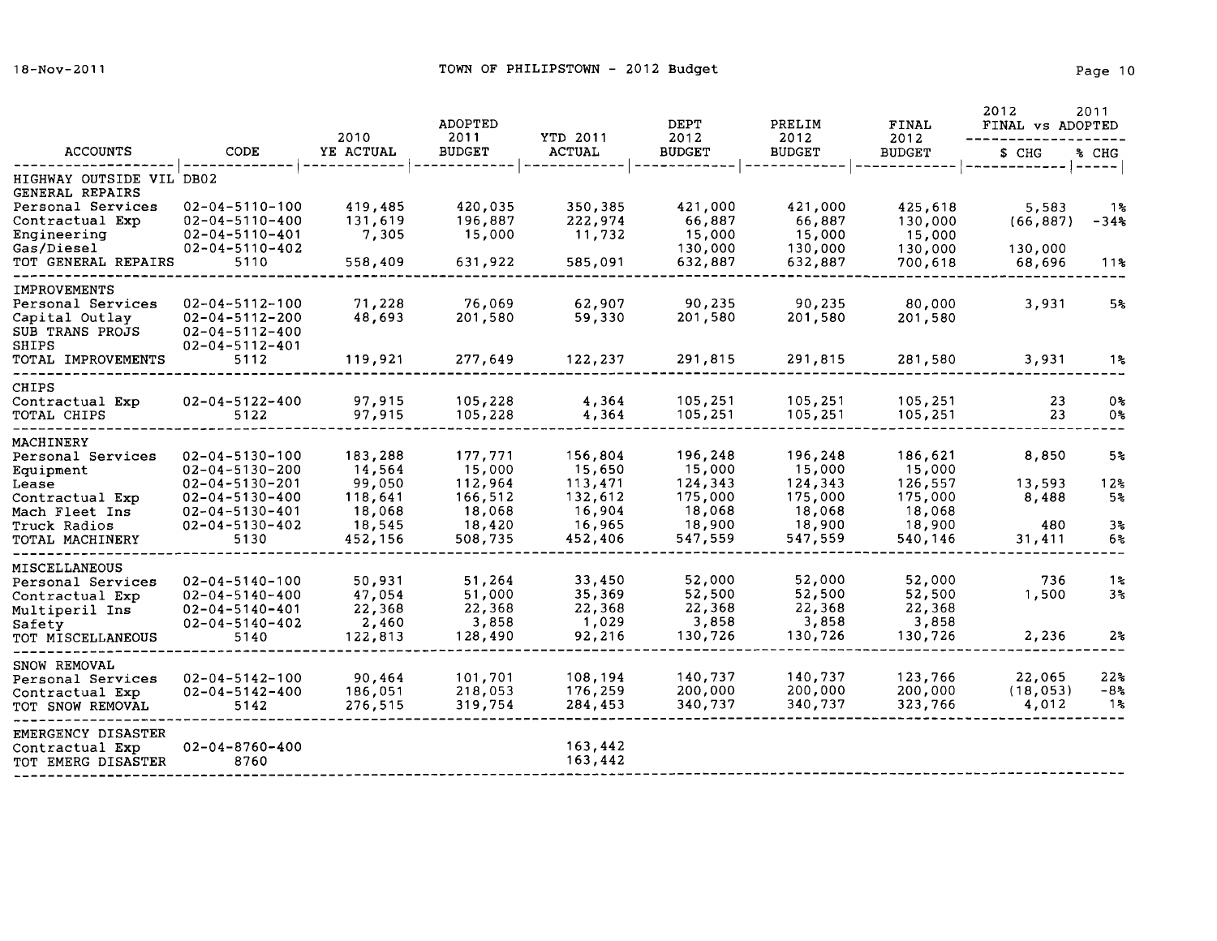| <b>ACCOUNTS</b>                             | CODE                                             | 2010             | <b>ADOPTED</b><br>2011 | YTD 2011           | DEPT<br>2012       | PRELIM<br>2012     | <b>FINAL</b><br>2012<br><b>BUDGET</b> | 2012<br>2011<br>FINAL vs ADOPTED |                 |
|---------------------------------------------|--------------------------------------------------|------------------|------------------------|--------------------|--------------------|--------------------|---------------------------------------|----------------------------------|-----------------|
|                                             |                                                  | YE ACTUAL        | <b>BUDGET</b>          | <b>ACTUAL</b>      | <b>BUDGET</b>      | <b>BUDGET</b>      |                                       | \$ CHG                           | % CHG           |
| HIGHWAY OUTSIDE VIL DB02<br>GENERAL REPAIRS |                                                  |                  |                        |                    |                    |                    |                                       |                                  | $--- - - - -$   |
| Personal Services                           | $02 - 04 - 5110 - 100$                           | 419,485          | 420,035                | 350,385            | 421,000            | 421,000            | 425,618                               | 5,583                            | 1%              |
| Contractual Exp                             | $02 - 04 - 5110 - 400$                           | 131,619          | 196,887                | 222,974            | 66,887             | 66,887             | 130,000                               | (66, 887)                        | -34%            |
| Engineering<br>Gas/Diesel                   | $02 - 04 - 5110 - 401$<br>$02 - 04 - 5110 - 402$ | 7,305            | 15,000                 | 11,732             | 15,000<br>130,000  | 15,000<br>130,000  | 15,000<br>130,000                     | 130,000                          |                 |
| TOT GENERAL REPAIRS                         | 5110                                             | 558,409          | 631,922                | 585,091            | 632,887            | 632,887            | 700,618                               | 68,696                           | 11%             |
| <b>IMPROVEMENTS</b>                         |                                                  |                  |                        |                    |                    |                    |                                       |                                  |                 |
| Personal Services                           | $02 - 04 - 5112 - 100$                           | 71,228           | 76,069                 | 62,907             | 90,235             | 90,235             | 80,000                                | 3,931                            | 5%              |
| Capital Outlay<br>SUB TRANS PROJS           | $02 - 04 - 5112 - 200$<br>$02 - 04 - 5112 - 400$ | 48,693           | 201,580                | 59,330             | 201,580            | 201,580            | 201,580                               |                                  |                 |
| SHIPS                                       | $02 - 04 - 5112 - 401$                           |                  |                        |                    |                    |                    |                                       |                                  |                 |
| TOTAL IMPROVEMENTS                          | 5112                                             | 119,921          | 277,649                | 122,237            | 291,815            | 291,815            | 281,580                               | 3,931                            | 1%              |
| <b>CHIPS</b>                                |                                                  |                  |                        |                    |                    |                    |                                       |                                  |                 |
| Contractual Exp<br>TOTAL CHIPS              | $02 - 04 - 5122 - 400$<br>5122                   | 97,915<br>97,915 | 105,228<br>105,228     | 4,364<br>4,364     | 105,251<br>105,251 | 105,251<br>105,251 | 105,251<br>105,251                    | 23<br>23                         | 0%<br>0%        |
|                                             |                                                  |                  |                        |                    |                    |                    |                                       |                                  |                 |
| MACHINERY                                   | $02 - 04 - 5130 - 100$                           | 183,288          | 177,771                | 156,804            | 196,248            | 196,248            | 186,621                               | 8,850                            | 5 <sub>8</sub>  |
| Personal Services<br>Equipment              | $02 - 04 - 5130 - 200$                           | 14,564           | 15,000                 | 15,650             | 15,000             | 15,000             | 15,000                                |                                  |                 |
| Lease                                       | $02 - 04 - 5130 - 201$                           | 99,050           | 112,964                | 113,471            | 124,343            | 124,343            | 126,557                               | 13,593                           | 12 <sup>2</sup> |
| Contractual Exp                             | $02 - 04 - 5130 - 400$                           | 118,641          | 166,512                | 132,612            | 175,000            | 175,000            | 175,000                               | 8,488                            | 5%              |
| Mach Fleet Ins                              | $02 - 04 - 5130 - 401$                           | 18,068           | 18,068                 | 16,904             | 18,068             | 18,068             | 18,068                                |                                  |                 |
| Truck Radios                                | $02 - 04 - 5130 - 402$                           | 18,545           | 18,420                 | 16,965             | 18,900             | 18,900             | 18,900                                | 480                              | 3 <sub>5</sub>  |
| TOTAL MACHINERY                             | 5130                                             | 452,156          | 508,735                | 452,406            | 547,559            | 547,559            | 540,146                               | 31,411                           | 6%              |
| MISCELLANEOUS                               |                                                  |                  |                        |                    |                    |                    |                                       |                                  |                 |
| Personal Services                           | $02 - 04 - 5140 - 100$                           | 50,931           | 51,264                 | 33,450             | 52,000             | 52,000             | 52,000                                | 736                              | 1%              |
| Contractual Exp                             | $02 - 04 - 5140 - 400$                           | 47,054<br>22,368 | 51,000<br>22,368       | 35,369<br>22,368   | 52,500<br>22,368   | 52,500<br>22,368   | 52,500<br>22,368                      | 1,500                            | 3 <sup>o</sup>  |
| Multiperil Ins<br>Safety                    | $02 - 04 - 5140 - 401$<br>$02 - 04 - 5140 - 402$ | 2,460            | 3,858                  | 1,029              | 3,858              | 3,858              | 3,858                                 |                                  |                 |
| TOT MISCELLANEOUS                           | 5140                                             | 122,813          | 128,490                | 92,216             | 130,726            | 130,726            | 130,726                               | 2,236                            | $2\%$           |
| SNOW REMOVAL                                |                                                  |                  |                        |                    |                    |                    |                                       |                                  |                 |
| Personal Services                           | $02 - 04 - 5142 - 100$                           | 90,464           | 101,701                | 108,194            | 140,737            | 140,737            | 123,766                               | 22,065                           | 22%             |
| Contractual Exp                             | $02 - 04 - 5142 - 400$                           | 186,051          | 218,053                | 176,259            | 200,000            | 200,000            | 200,000                               | (18, 053)                        | -8%             |
| TOT SNOW REMOVAL                            | 5142                                             | 276,515          | 319,754                | 284,453            | 340,737            | 340,737            | 323,766                               | 4,012                            | 1%              |
| EMERGENCY DISASTER                          |                                                  |                  |                        |                    |                    |                    |                                       |                                  |                 |
| Contractual Exp<br>TOT EMERG DISASTER       | $02 - 04 - 8760 - 400$<br>8760                   |                  |                        | 163,442<br>163,442 |                    |                    |                                       |                                  |                 |
|                                             |                                                  |                  |                        |                    |                    |                    |                                       |                                  |                 |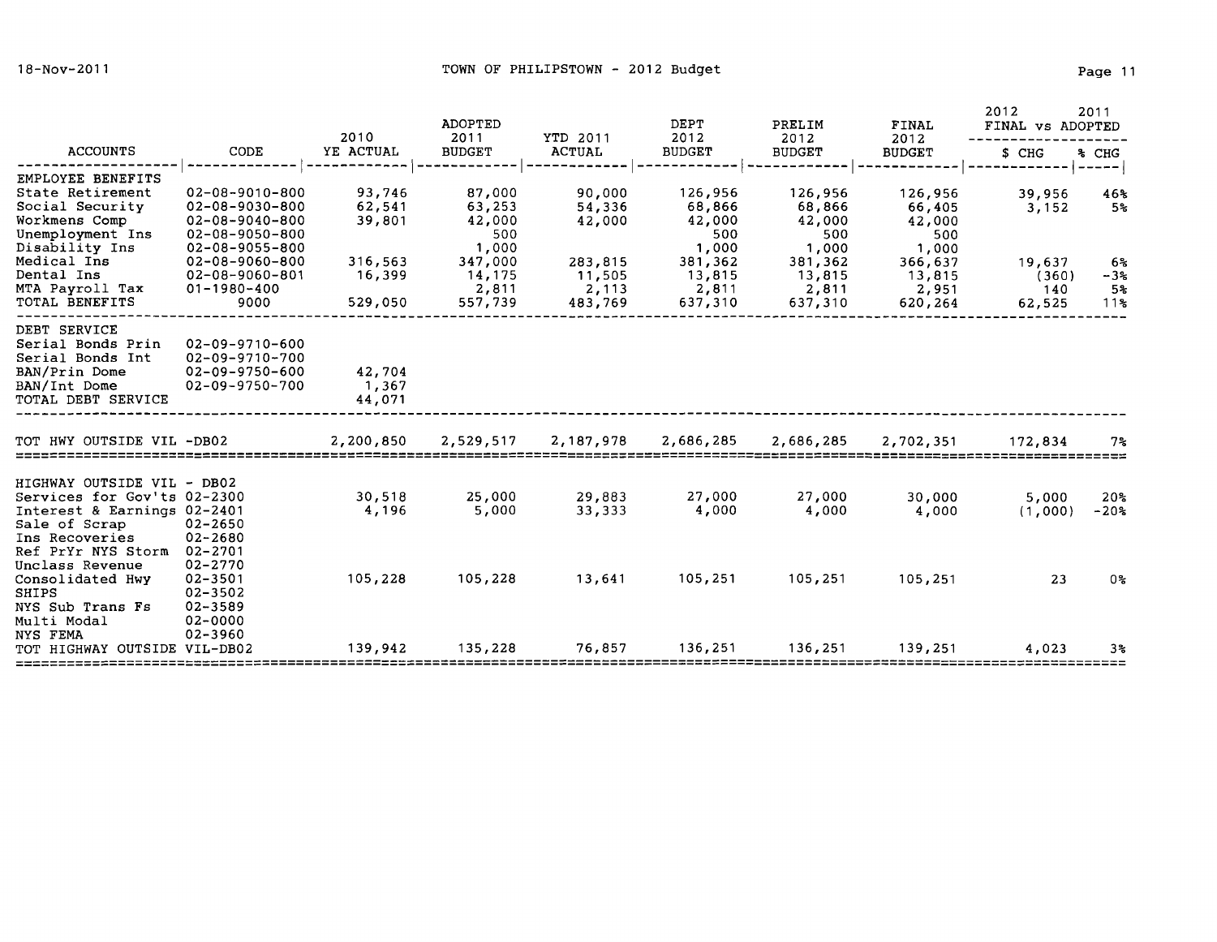| <b>ACCOUNTS</b>                                                                                                                                   |                                                                                                      | 2010<br>YE ACTUAL            | <b>ADOPTED</b><br>2011<br><b>BUDGET</b>        | YTD 2011<br><b>ACTUAL</b>             | DEPT<br>2012                                   | PRELIM<br>2012<br><b>BUDGET</b>                | FINAL<br>2012<br><b>BUDGET</b>                 | 2012<br>2011<br>FINAL vs ADOPTED |                                                  |
|---------------------------------------------------------------------------------------------------------------------------------------------------|------------------------------------------------------------------------------------------------------|------------------------------|------------------------------------------------|---------------------------------------|------------------------------------------------|------------------------------------------------|------------------------------------------------|----------------------------------|--------------------------------------------------|
|                                                                                                                                                   | CODE                                                                                                 |                              |                                                |                                       | <b>BUDGET</b>                                  |                                                |                                                | \$ CHG                           | SCHG                                             |
| EMPLOYEE BENEFITS<br>State Retirement<br>Social Security<br>Workmens Comp<br>Unemployment Ins                                                     | $02 - 08 - 9010 - 800$<br>$02 - 08 - 9030 - 800$<br>$02 - 08 - 9040 - 800$<br>$02 - 08 - 9050 - 800$ | 93,746<br>62,541<br>39,801   | 87,000<br>63,253<br>42,000<br>500              | 90,000<br>54,336<br>42,000            | 126,956<br>68,866<br>42,000<br>500             | 126,956<br>68,866<br>42,000<br>500             | 126,956<br>66,405<br>42,000<br>500             | 39,956<br>3,152                  | $- - -$<br>46%<br>5%                             |
| Disability Ins<br>Medical Ins<br>Dental Ins<br>MTA Payroll Tax<br>TOTAL BENEFITS                                                                  | $02 - 08 - 9055 - 800$<br>02-08-9060-800<br>$02 - 08 - 9060 - 801$<br>$01 - 1980 - 400$<br>9000      | 316,563<br>16,399<br>529,050 | 1,000<br>347,000<br>14,175<br>2,811<br>557,739 | 283,815<br>11,505<br>2,113<br>483,769 | 1,000<br>381,362<br>13,815<br>2,811<br>637,310 | 1,000<br>381,362<br>13,815<br>2,811<br>637,310 | 1,000<br>366,637<br>13,815<br>2,951<br>620,264 | 19,637<br>(360)<br>140<br>62,525 | 6%<br>$-3%$<br>5 <sub>3</sub><br>11 <sub>5</sub> |
| DEBT SERVICE<br>Serial Bonds Prin<br>Serial Bonds Int<br>BAN/Prin Dome<br>BAN/Int Dome<br>TOTAL DEBT SERVICE                                      | $02 - 09 - 9710 - 600$<br>$02 - 09 - 9710 - 700$<br>$02 - 09 - 9750 - 600$<br>02-09-9750-700         | 42,704<br>1,367<br>44,071    |                                                |                                       |                                                |                                                |                                                |                                  |                                                  |
| TOT HWY OUTSIDE VIL -DB02                                                                                                                         |                                                                                                      | 2,200,850                    | 2,529,517                                      | 2,187,978                             | 2,686,285                                      | 2,686,285                                      | 2,702,351                                      | 172,834                          | $7\%$                                            |
| HIGHWAY OUTSIDE VIL - DB02<br>Services for Gov'ts 02-2300<br>Interest & Earnings 02-2401<br>Sale of Scrap<br>Ins Recoveries<br>Ref PrYr NYS Storm | $02 - 2650$<br>$02 - 2680$<br>$02 - 2701$                                                            | 30,518<br>4,196              | 25,000<br>5,000                                | 29,883<br>33,333                      | 27,000<br>4,000                                | 27,000<br>4,000                                | 30,000<br>4,000                                | 5,000<br>(1,000)                 | 20 <sub>5</sub><br>$-20%$                        |
| Unclass Revenue<br>Consolidated Hwy<br><b>SHIPS</b><br>NYS Sub Trans Fs<br>Multi Modal                                                            | 02-2770<br>$02 - 3501$<br>$02 - 3502$<br>02-3589<br>02-0000                                          | 105,228                      | 105,228                                        | 13,641                                | 105,251                                        | 105,251                                        | 105,251                                        | 23                               | 0%                                               |
| NYS FEMA<br>TOT HIGHWAY OUTSIDE VIL-DB02                                                                                                          | 02-3960                                                                                              | 139,942                      | 135,228                                        | 76,857                                | 136,251                                        | 136,251                                        | 139,251                                        | 4,023                            | 3%                                               |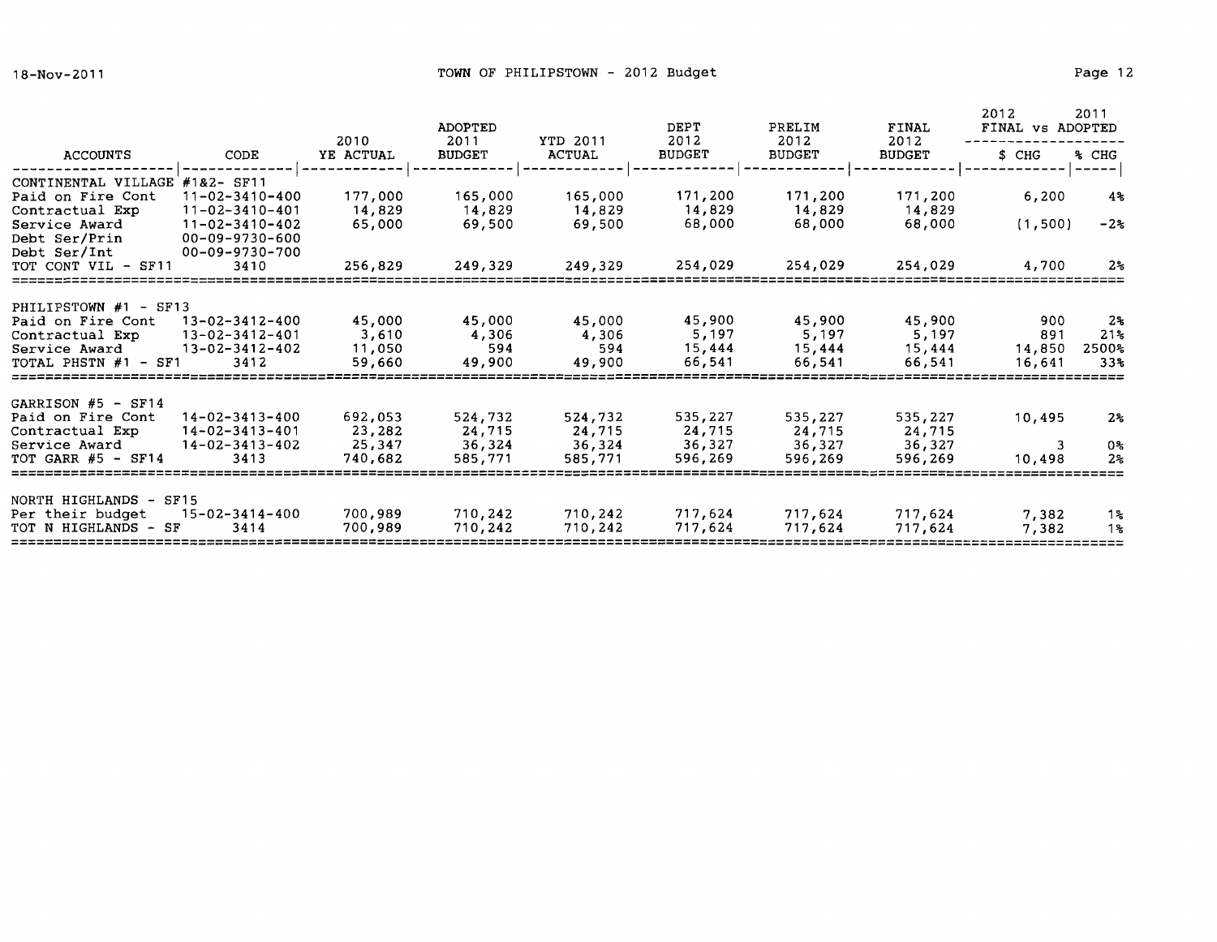|                                                                                                               |                                                                                                                                 | 2010                                   | <b>ADOPTED</b><br>2011                 | <b>YTD 2011</b>                        | <b>DEPT</b><br>2012                    | PRELIM<br>2012                         | FINAL<br>2012                          | 2012<br>2011<br>FINAL vs ADOPTED |                                       |
|---------------------------------------------------------------------------------------------------------------|---------------------------------------------------------------------------------------------------------------------------------|----------------------------------------|----------------------------------------|----------------------------------------|----------------------------------------|----------------------------------------|----------------------------------------|----------------------------------|---------------------------------------|
| ACCOUNTS                                                                                                      | CODE                                                                                                                            | YE ACTUAL                              | <b>BUDGET</b>                          | <b>ACTUAL</b>                          | <b>BUDGET</b>                          | <b>BUDGET</b>                          | <b>BUDGET</b>                          | \$ CHG                           | % CHG                                 |
| CONTINENTAL VILLAGE<br>Paid on Fire Cont<br>Contractual Exp<br>Service Award<br>Debt Ser/Prin<br>Debt Ser/Int | $#182 - SF11$<br>$11 - 02 - 3410 - 400$<br>$11 - 02 - 3410 - 401$<br>$11 - 02 - 3410 - 402$<br>00-09-9730-600<br>00-09-9730-700 | 177,000<br>14,829<br>65,000            | 165,000<br>14,829<br>69,500            | 165,000<br>14,829<br>69,500            | 171,200<br>14,829<br>68,000            | 171,200<br>14,829<br>68,000            | 171,200<br>14,829<br>68,000            | 6,200<br>(1, 500)                | $4\%$<br>$-22$                        |
| TOT CONT VIL - SF11                                                                                           | 3410                                                                                                                            | 256,829                                | 249,329                                | 249,329                                | 254,029                                | 254,029                                | 254,029                                | 4,700                            | $2\,$                                 |
| PHILIPSTOWN #1 - SF13<br>Paid on Fire Cont<br>Contractual Exp<br>Service Award<br>TOTAL PHSTN #1 - SF1        | 13-02-3412-400<br>$13 - 02 - 3412 - 401$<br>$13 - 02 - 3412 - 402$<br>3412                                                      | 45,000<br>3,610<br>11,050<br>59,660    | 45,000<br>4,306<br>594<br>49,900       | 45,000<br>4,306<br>594<br>49,900       | 45,900<br>5,197<br>15,444<br>66,541    | 45,900<br>5,197<br>15,444<br>66,541    | 45,900<br>5,197<br>15,444<br>66,541    | 900<br>891<br>14,850<br>16,641   | 2ક<br>21 <sub>5</sub><br>2500%<br>33% |
| GARRISON $#5$ - SF14<br>Paid on Fire Cont<br>Contractual Exp<br>Service Award<br>TOT GARR $#5$ - SF14         | $14 - 02 - 3413 - 400$<br>14-02-3413-401<br>$14 - 02 - 3413 - 402$<br>3413                                                      | 692,053<br>23,282<br>25,347<br>740,682 | 524,732<br>24,715<br>36,324<br>585,771 | 524,732<br>24,715<br>36,324<br>585,771 | 535,227<br>24,715<br>36,327<br>596,269 | 535,227<br>24,715<br>36,327<br>596,269 | 535,227<br>24,715<br>36,327<br>596,269 | 10,495<br>3<br>10,498            | $2*$<br>0%<br>2 <sub>5</sub>          |
| NORTH HIGHLANDS - SF15<br>Per their budget<br>TOT N HIGHLANDS - SF                                            | $15 - 02 - 3414 - 400$<br>3414                                                                                                  | 700,989<br>700,989                     | 710,242<br>710,242                     | 710,242<br>710,242                     | 717,624<br>717,624                     | 717,624<br>717,624                     | 717,624<br>717,624                     | 7,382<br>7,382                   | 1%<br>$1\,$                           |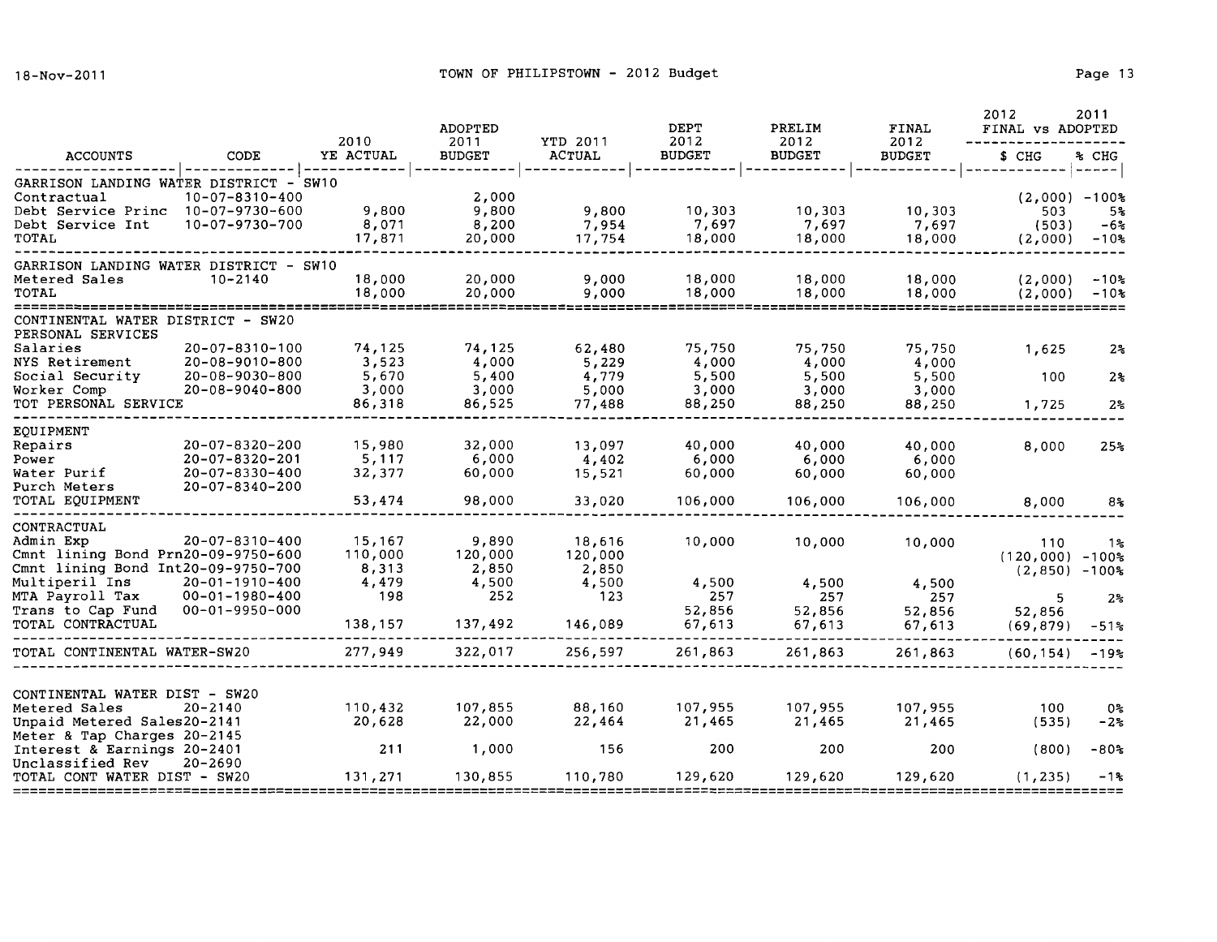|                                                                                                                                                                                     |                                                                                                      |                                                       |                                                      | 2010                                                  | <b>ADOPTED</b><br>2011                     | YTD 2011                                   | <b>DEPT</b><br>2012                        | PRELIM<br>2012                                                          | FINAL<br>2012                            | 2012<br>2011<br>FINAL vs ADOPTED |  |
|-------------------------------------------------------------------------------------------------------------------------------------------------------------------------------------|------------------------------------------------------------------------------------------------------|-------------------------------------------------------|------------------------------------------------------|-------------------------------------------------------|--------------------------------------------|--------------------------------------------|--------------------------------------------|-------------------------------------------------------------------------|------------------------------------------|----------------------------------|--|
| <b>ACCOUNTS</b>                                                                                                                                                                     | CODE                                                                                                 | YE ACTUAL                                             | <b>BUDGET</b>                                        | <b>ACTUAL</b>                                         | <b>BUDGET</b>                              | <b>BUDGET</b>                              | <b>BUDGET</b>                              | \$ CHG                                                                  | % CHG                                    |                                  |  |
| GARRISON LANDING WATER DISTRICT - SW10<br>Contractual<br>Debt Service Princ 10-07-9730-600<br>Debt Service Int<br>TOTAL                                                             | $10 - 07 - 8310 - 400$<br>10-07-9730-700                                                             | 9,800<br>8,071<br>17,871                              | 2,000<br>9,800<br>8,200<br>20,000                    | 9,800<br>7,954<br>17,754                              | 10,303<br>7,697<br>18,000                  | 10,303<br>7,697<br>18,000                  | 10,303<br>7,697<br>18,000                  | (2,000)<br>503<br>(503)<br>(2,000)                                      | ---<br>$-100%$<br>5%<br>$-6\%$<br>$-105$ |                                  |  |
| GARRISON LANDING WATER DISTRICT - SW10<br>Metered Sales<br>TOTAL<br>====================                                                                                            | $10 - 2140$                                                                                          | 18,000<br>18,000                                      | 20,000<br>20,000                                     | 9,000<br>9,000                                        | 18,000<br>18,000                           | 18,000<br>18,000                           | 18,000<br>18,000                           | (2,000)<br>(2,000)                                                      | $-108$<br>$-10$ %                        |                                  |  |
| CONTINENTAL WATER DISTRICT -<br>PERSONAL SERVICES                                                                                                                                   | SW20                                                                                                 |                                                       |                                                      |                                                       |                                            |                                            |                                            |                                                                         |                                          |                                  |  |
| Salaries<br>NYS Retirement<br>Social Security                                                                                                                                       | $20 - 07 - 8310 - 100$<br>20-08-9010-800<br>20-08-9030-800                                           | 74,125<br>3,523<br>5,670                              | 74,125<br>4,000<br>5,400                             | 62,480<br>5,229<br>4,779                              | 75,750<br>4,000<br>5,500                   | 75,750<br>4,000<br>5,500                   | 75,750<br>4,000<br>5,500                   | 1,625<br>100                                                            | 2 <sub>5</sub><br>$2\frac{6}{5}$         |                                  |  |
| Worker Comp<br>TOT PERSONAL SERVICE                                                                                                                                                 | $20 - 08 - 9040 - 800$                                                                               | 3,000<br>86,318                                       | 3,000<br>86,525                                      | 5,000<br>77,488                                       | 3,000<br>88,250                            | 3,000<br>88,250                            | 3,000<br>88,250                            | 1,725                                                                   | 2 <sup>o</sup>                           |                                  |  |
| EQUIPMENT<br>Repairs<br>Power<br>Water Purif<br>Purch Meters<br>TOTAL EQUIPMENT                                                                                                     | $20 - 07 - 8320 - 200$<br>$20 - 07 - 8320 - 201$<br>$20 - 07 - 8330 - 400$<br>$20 - 07 - 8340 - 200$ | 15,980<br>5,117<br>32,377<br>53,474                   | 32,000<br>6,000<br>60,000<br>98,000                  | 13,097<br>4,402<br>15,521<br>33,020                   | 40,000<br>6,000<br>60,000<br>106,000       | 40,000<br>6,000<br>60,000<br>106,000       | 40,000<br>6,000<br>60,000<br>106,000       | 8,000<br>8,000                                                          | 25 <sub>5</sub><br>$8\%$                 |                                  |  |
| CONTRACTUAL<br>Admin Exp<br>Cmnt lining Bond Prn20-09-9750-600<br>Cmnt lining Bond Int20-09-9750-700<br>Multiperil Ins<br>MTA Payroll Tax<br>Trans to Cap Fund<br>TOTAL CONTRACTUAL | $20 - 07 - 8310 - 400$<br>$20 - 01 - 1910 - 400$<br>$00 - 01 - 1980 - 400$<br>$00 - 01 - 9950 - 000$ | 15,167<br>110,000<br>8,313<br>4,479<br>198<br>138,157 | 9,890<br>120,000<br>2,850<br>4,500<br>252<br>137,492 | 18,616<br>120,000<br>2,850<br>4,500<br>123<br>146,089 | 10,000<br>4,500<br>257<br>52,856<br>67,613 | 10,000<br>4,500<br>257<br>52,856<br>67,613 | 10,000<br>4,500<br>257<br>52,856<br>67,613 | 110<br>$(120,000)$ -100%<br>$(2,850)$ -100%<br>5<br>52,856<br>(69, 879) | 1%<br>$2\,$<br>$-51\%$                   |                                  |  |
| TOTAL CONTINENTAL WATER-SW20                                                                                                                                                        |                                                                                                      | 277,949                                               | 322,017                                              | 256,597                                               | 261,863                                    | 261,863                                    | 261,863                                    | (60, 154)                                                               | $-195$                                   |                                  |  |
| CONTINENTAL WATER DIST - SW20<br>Metered Sales<br>Unpaid Metered Sales20-2141<br>Meter & Tap Charges 20-2145<br>Interest & Earnings 20-2401<br>Unclassified Rev                     | $20 - 2140$<br>$20 - 2690$                                                                           | 110,432<br>20,628<br>211                              | 107,855<br>22,000<br>1,000                           | 88,160<br>22,464<br>156                               | 107,955<br>21,465<br>200                   | 107,955<br>21,465<br>200                   | 107,955<br>21,465<br>200                   | 100<br>(535)<br>(800)                                                   | 0%<br>-2%<br>-80%                        |                                  |  |
| TOTAL CONT WATER DIST - SW20                                                                                                                                                        |                                                                                                      | 131,271                                               | 130,855                                              | 110,780                                               | 129,620                                    | 129,620                                    | 129,620                                    | (1, 235)                                                                | $-1$ %                                   |                                  |  |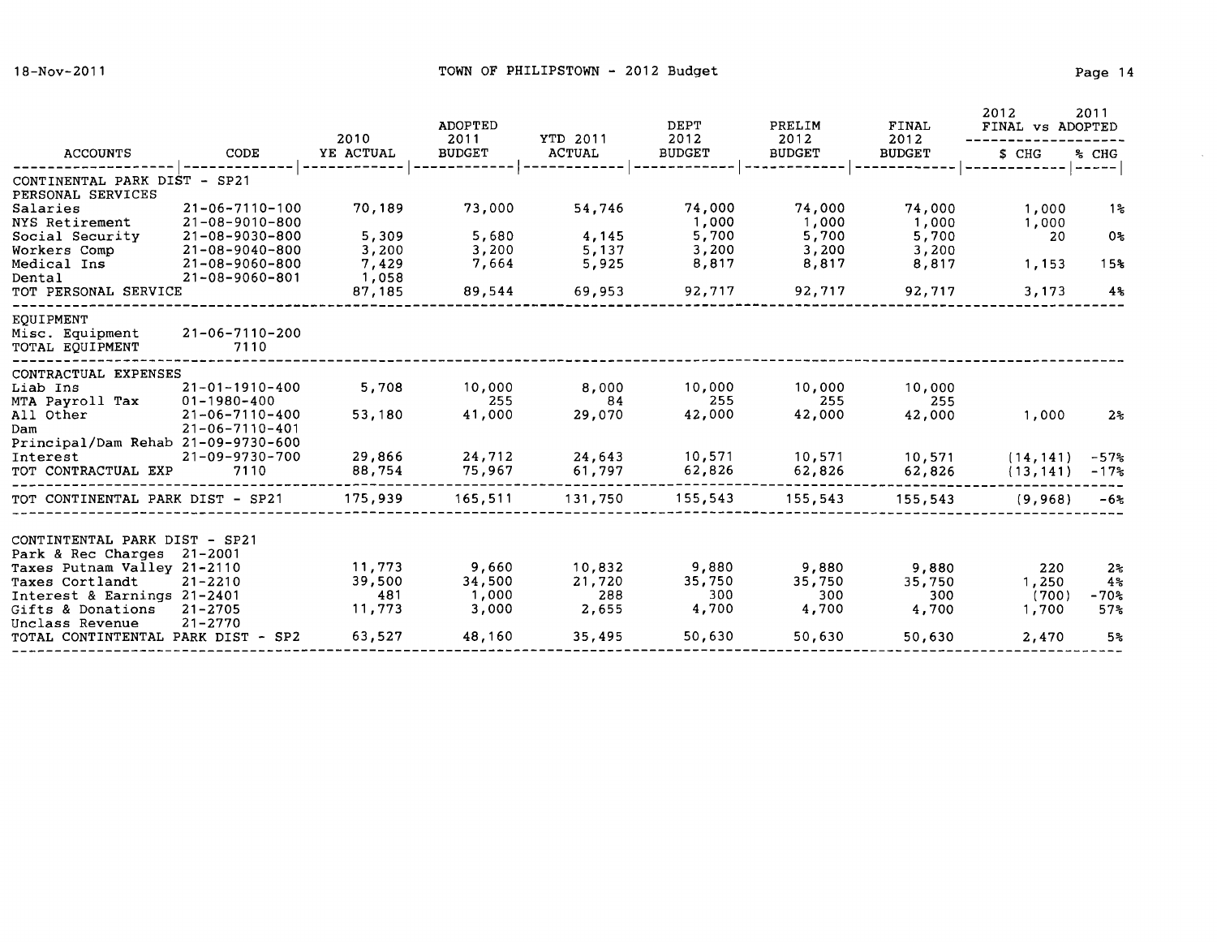$\sim 10^7$ 

| <b>ACCOUNTS</b>                                       | CODE                             | 2010      | <b>ADOPTED</b><br>2011 | YTD 2011<br><b>ACTUAL</b> | DEPT<br>2012<br><b>BUDGET</b> | PRELIM<br>2012<br><b>BUDGET</b> | <b>FINAL</b><br>2012<br><b>BUDGET</b> | 2012<br>2011<br>FINAL vs ADOPTED |                  |
|-------------------------------------------------------|----------------------------------|-----------|------------------------|---------------------------|-------------------------------|---------------------------------|---------------------------------------|----------------------------------|------------------|
|                                                       |                                  | YE ACTUAL | <b>BUDGET</b>          |                           |                               |                                 |                                       | \$ CHG                           | % CHG<br>$- - -$ |
| CONTINENTAL PARK DIST - SP21                          |                                  |           |                        |                           |                               |                                 |                                       |                                  |                  |
| PERSONAL SERVICES<br>Salaries                         | $21 - 06 - 7110 - 100$           | 70,189    | 73,000                 | 54,746                    | 74,000                        | 74,000                          | 74,000                                | 1,000                            | 1%               |
| NYS Retirement                                        | $21 - 08 - 9010 - 800$           |           |                        |                           | 1,000                         | 1,000                           | 1,000                                 | 1,000                            |                  |
| Social Security                                       | $21 - 08 - 9030 - 800$           | 5,309     | 5,680                  | 4,145                     | 5,700                         | 5,700                           | 5,700                                 | 20                               | 0 <sub>5</sub>   |
| Workers Comp                                          | $21 - 08 - 9040 - 800$           | 3,200     | 3,200                  | 5,137                     | 3,200                         | 3,200                           | 3,200                                 |                                  |                  |
| Medical Ins                                           | $21 - 08 - 9060 - 800$           | 7,429     | 7,664                  | 5,925                     | 8,817                         | 8,817                           | 8,817                                 | 1,153                            | 15%              |
| Dental                                                | 21-08-9060-801                   | 1,058     |                        |                           |                               |                                 |                                       |                                  |                  |
| TOT PERSONAL SERVICE                                  |                                  | 87,185    | 89,544                 | 69,953                    | 92,717                        | 92,717                          | 92,717                                | 3,173                            | 4%               |
| EOUIPMENT                                             |                                  |           |                        |                           |                               |                                 |                                       |                                  |                  |
| Misc. Equipment<br>TOTAL EQUIPMENT                    | 21-06-7110-200<br>7110           |           |                        |                           |                               |                                 |                                       |                                  |                  |
|                                                       |                                  |           |                        |                           |                               |                                 |                                       |                                  |                  |
| CONTRACTUAL EXPENSES                                  |                                  |           |                        |                           |                               |                                 |                                       |                                  |                  |
| Liab Ins                                              | $21 - 01 - 1910 - 400$           | 5,708     | 10,000                 | 8,000                     | 10,000                        | 10,000                          | 10,000                                |                                  |                  |
| MTA Payroll Tax                                       | $01 - 1980 - 400$                | 53,180    | 255                    | 84                        | 255                           | 255                             | 255                                   |                                  |                  |
| All Other<br>Dam                                      | 21-06-7110-400<br>21-06-7110-401 |           | 41,000                 | 29,070                    | 42,000                        | 42,000                          | 42,000                                | 1,000                            | $2\,$            |
| Principal/Dam Rehab 21-09-9730-600                    |                                  |           |                        |                           |                               |                                 |                                       |                                  |                  |
| Interest                                              | 21-09-9730-700                   | 29,866    | 24,712                 | 24,643                    | 10,571                        | 10,571                          | 10,571                                | (14, 141)                        | $-57%$           |
| TOT CONTRACTUAL EXP                                   | 7110                             | 88,754    | 75,967                 | 61,797                    | 62,826                        | 62,826                          | 62,826                                | (13, 141)                        | $-17$ %          |
| TOT CONTINENTAL PARK DIST - SP21                      |                                  | 175,939   | 165,511                | 131,750                   | 155,543                       | 155,543                         | 155,543                               | (9,968)                          | -6%              |
|                                                       |                                  |           |                        |                           |                               |                                 |                                       |                                  |                  |
| CONTINTENTAL PARK DIST - SP21                         |                                  |           |                        |                           |                               |                                 |                                       |                                  |                  |
| Park & Rec Charges                                    | 21-2001                          |           |                        |                           |                               |                                 |                                       |                                  |                  |
| Taxes Putnam Valley 21-2110                           |                                  | 11,773    | 9,660                  | 10,832                    | 9,880                         | 9,880                           | 9,880                                 | 220                              | $2*$             |
| Taxes Cortlandt                                       | $21 - 2210$                      | 39,500    | 34,500                 | 21,720                    | 35,750                        | 35,750                          | 35,750                                | 1,250                            | 4 <sup>s</sup>   |
| Interest & Earnings 21-2401                           |                                  | 481       | 1,000                  | 288                       | 300                           | 300                             | 300                                   | (700)                            | $-70%$           |
| Gifts & Donations                                     | $21 - 2705$                      | 11,773    | 3,000                  | 2,655                     | 4,700                         | 4,700                           | 4,700                                 | 1,700                            | 57%              |
| Unclass Revenue<br>TOTAL CONTINTENTAL PARK DIST - SP2 | $21 - 2770$                      | 63,527    | 48,160                 | 35,495                    | 50,630                        | 50,630                          | 50,630                                | 2,470                            | 5%               |
|                                                       |                                  |           |                        |                           |                               |                                 |                                       |                                  |                  |